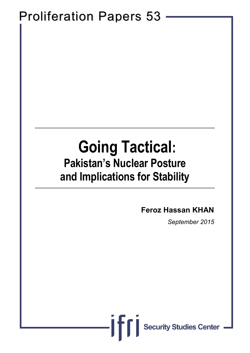# Proliferation Papers 53

# **Going Tactical: Pakistan's Nuclear Posture and Implications for Stability \_\_\_\_\_\_\_\_\_\_\_\_\_\_\_\_\_\_\_\_\_\_\_\_\_\_\_\_\_\_\_\_\_\_\_\_\_\_\_\_\_\_\_\_\_\_\_\_\_\_\_\_\_\_\_\_\_\_\_\_\_\_\_\_\_\_\_\_\_\_**

ifi

**\_\_\_\_\_\_\_\_\_\_\_\_\_\_\_\_\_\_\_\_\_\_\_\_\_\_\_\_\_\_\_\_\_\_\_\_\_\_\_\_\_\_\_\_\_\_\_\_\_\_\_\_\_\_\_\_\_\_\_\_\_\_\_\_\_\_\_\_\_\_**

### **Feroz Hassan KHAN**

*September 2015*

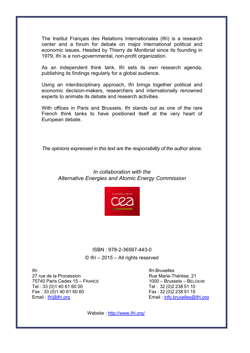The Institut Français des Relations Internationales (Ifri) is a research center and a forum for debate on major international political and economic issues. Headed by Thierry de Montbrial since its founding in 1979, Ifri is a non-governmental, non-profit organization.

As an independent think tank, Ifri sets its own research agenda, publishing its findings regularly for a global audience.

Using an interdisciplinary approach, Ifri brings together political and economic decision-makers, researchers and internationally renowned experts to animate its debate and research activities.

With offices in Paris and Brussels, Ifri stands out as one of the rare French think tanks to have positioned itself at the very heart of European debate.

*The opinions expressed in this text are the responsibility of the author alone.*

### *In collaboration with the Alternative Energies and Atomic Energy Commission*



### ISBN : 978-2-36567-443-0 © Ifri – 2015 – All rights reserved

Ifri 27 rue de la Procession 75740 Paris Cedex 15 – FRANCE Tel : 33 (0)1 40 61 60 00 Fax : 33 (0)1 40 61 60 60 Email: [ifri@ifri.org](mailto:ifri@ifri.org)

Ifri-Bruxelles Rue Marie-Thérèse, 21 1000 – Brussels – BELGIUM Tel : 32 (0)2 238 51 10 Fax : 32 (0)2 238 51 15 Email : [info.bruxelles@ifri.org](mailto:info.bruxelles@ifri.org)

Website :<http://www.ifri.org/>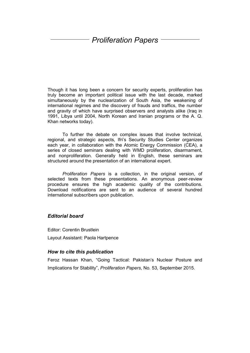### *Proliferation Papers*

Though it has long been a concern for security experts, proliferation has truly become an important political issue with the last decade, marked simultaneously by the nuclearization of South Asia, the weakening of international regimes and the discovery of frauds and traffics, the number and gravity of which have surprised observers and analysts alike (Iraq in 1991, Libya until 2004, North Korean and Iranian programs or the A. Q. Khan networks today).

To further the debate on complex issues that involve technical, regional, and strategic aspects, Ifri's Security Studies Center organizes each year, in collaboration with the Atomic Energy Commission (CEA), a series of closed seminars dealing with WMD proliferation, disarmament, and nonproliferation. Generally held in English, these seminars are structured around the presentation of an international expert.

*Proliferation Papers* is a collection, in the original version, of selected texts from these presentations. An anonymous peer-review procedure ensures the high academic quality of the contributions. Download notifications are sent to an audience of several hundred international subscribers upon publication.

#### *Editorial board*

Editor: Corentin Brustlein

Layout Assistant: Paola Hartpence

#### *How to cite this publication*

Feroz Hassan Khan, "Going Tactical: Pakistan's Nuclear Posture and Implications for Stability", *Proliferation Papers*, No. 53, September 2015.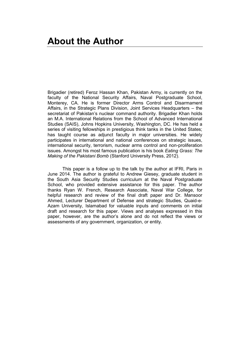Brigadier (retired) Feroz Hassan Khan, Pakistan Army, is currently on the faculty of the National Security Affairs, Naval Postgraduate School, Monterey, CA. He is former Director Arms Control and Disarmament Affairs, in the Strategic Plans Division, Joint Services Headquarters – the secretariat of Pakistan's nuclear command authority. Brigadier Khan holds an M.A. International Relations from the School of Advanced International Studies (SAIS), Johns Hopkins University, Washington, DC. He has held a series of visiting fellowships in prestigious think tanks in the United States; has taught course as adjunct faculty in major universities. He widely participates in international and national conferences on strategic issues, international security, terrorism, nuclear arms control and non-proliferation issues. Amongst his most famous publication is his book *Eating Grass: The Making of the Pakistani Bomb* (Stanford University Press, 2012).

This paper is a follow up to the talk by the author at IFRI, Paris in June 2014. The author is grateful to Andrew Giesey, graduate student in the South Asia Security Studies curriculum at the Naval Postgraduate School, who provided extensive assistance for this paper. The author thanks Ryan W. French, Research Associate, Naval War College, for helpful research and review of the final draft paper and Dr. Mansoor Ahmed, Lecturer Department of Defense and strategic Studies, Quaid-e-Azam University, Islamabad for valuable inputs and comments on initial draft and research for this paper. Views and analyses expressed in this paper, however, are the author's alone and do not reflect the views or assessments of any government, organization, or entity.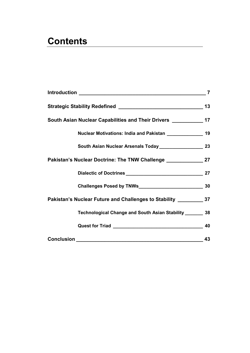# **Contents**

|                                                                                   | $\overline{7}$ |
|-----------------------------------------------------------------------------------|----------------|
|                                                                                   | 13             |
| South Asian Nuclear Capabilities and Their Drivers _______________ 17             |                |
| Nuclear Motivations: India and Pakistan ________________ 19                       |                |
|                                                                                   |                |
| Pakistan's Nuclear Doctrine: The TNW Challenge __________________________________ |                |
|                                                                                   |                |
|                                                                                   |                |
| Pakistan's Nuclear Future and Challenges to Stability ___________________________ |                |
| Technological Change and South Asian Stability ________ 38                        |                |
|                                                                                   |                |
|                                                                                   | 43             |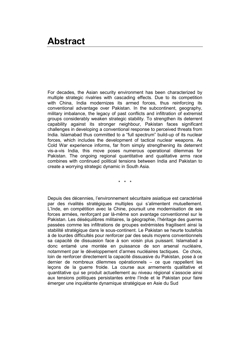### <span id="page-8-0"></span>**Abstract**

For decades, the Asian security environment has been characterized by multiple strategic rivalries with cascading effects. Due to its competition with China, India modernizes its armed forces, thus reinforcing its conventional advantage over Pakistan. In the subcontinent, geography, military imbalance, the legacy of past conflicts and infiltration of extremist groups considerably weaken strategic stability. To strengthen its deterrent capability against its stronger neighbour, Pakistan faces significant challenges in developing a conventional response to perceived threats from India. Islamabad thus committed to a "full spectrum" build-up of its nuclear forces, which includes the development of tactical nuclear weapons. As Cold War experience informs, far from simply strengthening its deterrent vis-a-vis India, this move poses numerous operational dilemmas for Pakistan. The ongoing regional quantitative and qualitative arms race combines with continued political tensions between India and Pakistan to create a worrying strategic dynamic in South Asia.

\* \* \*

Depuis des décennies, l'environnement sécuritaire asiatique est caractérisé par des rivalités stratégiques multiples qui s'alimentent mutuellement. L'Inde, en compétition avec la Chine, poursuit une modernisation de ses forces armées, renforçant par là-même son avantage conventionnel sur le Pakistan. Les déséquilibres militaires, la géographie, l'héritage des guerres passées comme les infiltrations de groupes extrémistes fragilisent ainsi la stabilité stratégique dans le sous-continent. Le Pakistan se heurte toutefois à de lourdes difficultés pour renforcer par des seuls moyens conventionnels sa capacité de dissuasion face à son voisin plus puissant. Islamabad a donc entamé une montée en puissance de son arsenal nucléaire, notamment par le développement d'armes nucléaires tactiques. Ce choix, loin de renforcer directement la capacité dissuasive du Pakistan, pose à ce dernier de nombreux dilemmes opérationnels – ce que rappellent les leçons de la guerre froide. La course aux armements qualitative et quantitative qui se produit actuellement au niveau régional s'associe ainsi aux tensions politiques persistantes entre l'Inde et le Pakistan pour faire émerger une inquiétante dynamique stratégique en Asie du Sud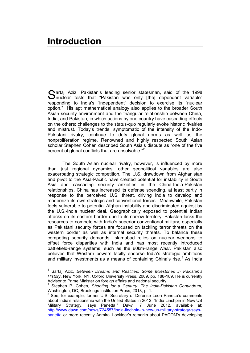artaj Aziz, Pakistan's leading senior statesman, said of the 1998 Sartaj Aziz, Pakistan's leading senior statesman, said of the 1998<br>Snuclear tests that "Pakistan was only [the] dependent variable" responding to India's "independent" decision to exercise its "nuclear option."[1](#page-10-0) His apt mathematical analogy also applies to the broader South Asian security environment and the triangular relationship between China, India, and Pakistan, in which actions by one country have cascading effects on the others: challenges to the status-quo regularly evoke historic rivalries and mistrust. Today's trends, symptomatic of the intensity of the Indo-Pakistani rivalry, continue to defy global norms as well as the nonproliferation regime. Renowned and highly respected South Asian scholar Stephen Cohen described South Asia's dispute as "one of the five percent of global conflicts that are unsolvable."[2](#page-10-1)

The South Asian nuclear rivalry, however, is influenced by more than just regional dynamics: other geopolitical variables are also exacerbating strategic competition. The U.S. drawdown from Afghanistan and pivot to the Asia-Pacific have created potential for instability in South Asia and cascading security anxieties in the China-India-Pakistan relationships. China has increased its defense spending, at least partly in response to the perceived U.S. threat, driving India to develop and modernize its own strategic and conventional forces. Meanwhile, Pakistan feels vulnerable to potential Afghan instability and discriminated against by the U.S.-India nuclear deal. Geographically exposed to potential Indian attacks on its eastern border due to its narrow territory, Pakistan lacks the resources to compete with India's superior conventional military, especially as Pakistani security forces are focused on tackling terror threats on the western border as well as internal security threats. To balance these competing security demands, Islamabad relies on nuclear weapons to offset force disparities with India and has most recently introduced battlefield-range systems, such as the 60km-range *Nasr*. Pakistan also believes that Western powers tacitly endorse India's strategic ambitions and military investments as a means of containing China's rise. $3$  As India

<span id="page-10-0"></span> <sup>1</sup> Sartaj Aziz, *Between Dreams and Realities: Some Milestones in Pakistan's History*, New York, NY, Oxford University Press, 2009, pp. 188-189. He is currently Advisor to Prime Minister on foreign affairs and national security.

<span id="page-10-1"></span><sup>&</sup>lt;sup>2</sup> Stephen P. Cohen, *Shooting for a Century: The India-Pakistan Conundrum,*<br>Washington, DC, Brookings Institution Press, 2013, p. 1.

<span id="page-10-2"></span>See, for example, former U.S. Secretary of Defense Leon Panetta's comments about India's relationship with the United States in 2012. "India Linchpin in New US Military Strategy, says Panetta," *Dawn*, 7 June 2012, available at: [http://www.dawn.com/news/724557/india-linchpin-in-new-us-military-strategy-says](http://www.dawn.com/news/724557/india-linchpin-in-new-us-military-strategy-says-panetta)[panetta](http://www.dawn.com/news/724557/india-linchpin-in-new-us-military-strategy-says-panetta) or more recently Admiral Locklear's remarks about PACOM's developing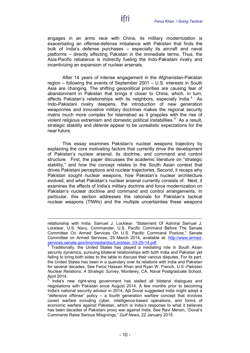engages in an arms race with China, its military modernization is exacerbating an offense-defense imbalance with Pakistan that finds the bulk of India's defense purchases – especially its aircraft and naval platforms – directly affecting Pakistan in the immediate terms. Thus, the Asia-Pacific rebalance is indirectly fueling the Indo-Pakistani rivalry and incentivizing an expansion of nuclear arsenals.

ifri

After 14 years of intense engagement in the Afghanistan-Pakistan region – following the events of September 2001 – U.S. interests in South Asia are changing. The shifting geopolitical priorities are causing fear of abandonment in Pakistan that brings it closer to China, which, in turn, affects Pakistan's relationships with its neighbors, especially India. $4\text{ As}$  $4\text{ As}$ Indo-Pakistani rivalry deepens, the introduction of new generation weaponries and innovative military doctrines makes the regional security matrix much more complex for Islamabad as it grapples with the rise of violent religious extremism and domestic political instabilities.<sup>[5](#page-11-1)</sup> As a result, strategic stability and *détente* appear to be unrealistic expectations for the near future.

This essay examines Pakistan's nuclear weapons trajectory by explaining the core motivating factors that currently drive the development of Pakistan's nuclear arsenal, its doctrine, and command and control structure. First, the paper discusses the academic literature on "strategic stability," and how the concept relates to the South Asian context that drives Pakistani perceptions and nuclear trajectories. Second, it recaps why Pakistan sought nuclear weapons, how Pakistan's nuclear architecture evolved, and what Pakistan's nuclear arsenal currently consists of. Next, it examines the effects of India's military doctrine and force modernization on Pakistan's nuclear doctrine and command and control arrangements. In particular, this section addresses the rationale for Pakistan's tactical nuclear weapons (TNWs) and the multiple uncertainties these weapons

 $\overline{a}$ 

relationship with India. Samuel J. Locklear, "Statement Of Admiral Samuel J. Locklear, U.S. Navy, Commander, U.S. Pacific Command Before The Senate Committee On Armed Services On U.S. Pacific Command Posture," Senate Committee on Armed Services, 25 March 2014, available at: http://www.armed-<br>services.senate.gov/imo/media/doc/Locklear 03-25-14.pdf.<br>4 Traditionally the interview of the contract of the contract of the contract of

<span id="page-11-0"></span>Traditionally, the United States has played a mediating role in South Asian security dynamics, pursuing bilateral relationships with both India and Pakistan yet failing to bring both sides to the table to discuss their various disputes. For its part, the United States has been in a quandary over its relations with India and Pakistan for several decades. See Feroz Hassan Khan and Ryan W. French, *U.S.-Pakistan Nuclear Relations: A Strategic Survey*, Monterey, CA, Naval Postgraduate School, April 2014.

<span id="page-11-1"></span>India's new right-wing government has stalled all bilateral dialogues and negotiations with Pakistan since August 2014. A few months prior to becoming India's national security advisor in 2014, Ajit Doval suggested India might adopt a "defensive offense" policy – a fourth generation warfare concept that involves covert warfare including cyber, intelligence-based operations, and forms of economic warfare against Pakistan, which is India's response to what it believes has been decades of Pakistani proxy war against India. See Ravi Menon, "Doval's Comments Raise Serious Misgivings," *Gulf News*, 22 January 2015.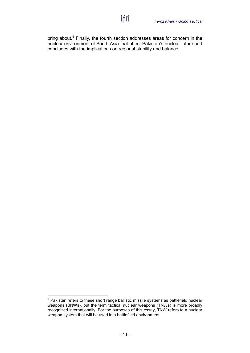bring about.<sup>[6](#page-12-0)</sup> Finally, the fourth section addresses areas for concern in the nuclear environment of South Asia that affect Pakistan's nuclear future and concludes with the implications on regional stability and balance.

ifri

<span id="page-12-0"></span> $6$  Pakistan refers to these short range ballistic missile systems as battlefield nuclear weapons (BNWs), but the term tactical nuclear weapons (TNWs) is more broadly recognized internationally. For the purposes of this essay, TNW refers to a nuclear weapon system that will be used in a battlefield environment.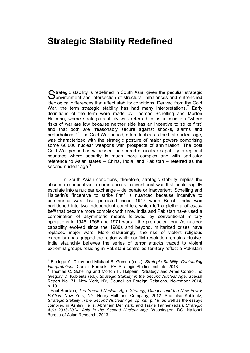## <span id="page-14-0"></span>**Strategic Stability Redefined**

Strategic stability is redefined in South Asia, given the peculiar strategic<br>
Senvironment and intersection of structural imbalances and entrenched  $\bigcup$  environment and intersection of structural imbalances and entrenched ideological differences that affect stability conditions. Derived from the Cold War, the term strategic stability has had many interpretations.<sup>[7](#page-14-1)</sup> Early definitions of the term were made by Thomas Schelling and Morton Halperin, where strategic stability was referred to as a condition "where risks of war are low because neither side has an incentive to strike first" and that both are "reasonably secure against shocks, alarms and perturbations."<sup>[8](#page-14-2)</sup> The Cold War period, often dubbed as the first nuclear age, was characterized with the strategic posture of major powers comprising some 60,000 nuclear weapons with prospects of annihilation. The post Cold War period has witnessed the spread of nuclear capability in regional countries where security is much more complex and with particular reference to Asian states – China, India, and Pakistan – referred as the second nuclear age.<sup>[9](#page-14-3)</sup>

In South Asian conditions, therefore, strategic stability implies the absence of incentive to commence a conventional war that could rapidly escalate into a nuclear exchange – deliberate or inadvertent. Schelling and Halperin's "incentive to strike first" is nuanced because incentive to commence wars has persisted since 1947 when British India was partitioned into two independent countries, which left a plethora of *casus belli* that became more complex with time. India and Pakistan have used a combination of asymmetric means followed by conventional military operations in 1948, 1965 and 1971 wars – the pre-nuclear era. As nuclear capability evolved since the 1980s and beyond, militarized crises have replaced major wars. More disturbingly, the rise of violent religious extremism has gripped the region while conflict resolution remains elusive. India staunchly believes the series of terror attacks traced to violent extremist groups residing in Pakistani-controlled territory reflect a Pakistani

<span id="page-14-1"></span> <sup>7</sup> Elbridge A. Colby and Michael S. Gerson (eds.), *Strategic Stability: Contending Interpretations*, Carlisle Barracks, PA, Strategic Studies Institute, 2013.

<span id="page-14-2"></span><sup>8</sup> Thomas C. Schelling and Morton H. Halperin, "Strategy and Arms Control," *in* Gregory D. Koblentz (ed.), *Strategic Stability in the Second Nuclear Age*, Special Report No. 71, New York, NY, Council on Foreign Relations, November 2014, p. 19.

<span id="page-14-3"></span>Paul Bracken, *The Second Nuclear Age: Strategy, Danger, and the New Power Politics*, New York, NY, Henry Holt and Company, 2012. See also Koblentz, *Strategic Stability in the Second Nuclear Age*, *op. cit.,* p. 19, as well as the essays compiled in Ashley Tellis, Abraham Denmark, and Travis Tanner (eds.), *Strategic Asia 2013-2014: Asia in the Second Nuclear Age,* Washington, DC, National Bureau of Asian Research, 2013.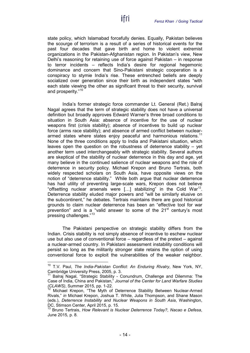state policy, which Islamabad forcefully denies. Equally, Pakistan believes the scourge of terrorism is a result of a series of historical events for the past four decades that gave birth and home to violent extremist organizations in the Pakistan-Afghanistan region. In Pakistan's view, New Delhi's reasoning for retaining use of force against Pakistan – in response to terror incidents – reflects India's desire for regional hegemonic dominance and concern that Sino-Pakistani strategic cooperation is a conspiracy to stymie India's rise. These entrenched beliefs are deeply socialized over generation since their birth as independent states "with each state viewing the other as significant threat to their security, survival and prosperity."<sup>[10](#page-15-0)</sup>

India's former strategic force commander Lt. General (Ret.) Balraj Nagal agrees that the term of strategic stability does not have a universal definition but broadly approves Edward Warner's three broad conditions to situation in South Asia: absence of incentive for the use of nuclear weapons first (crisis stability); absence of incentives to build up nuclear force (arms race stability); and absence of armed conflict between nuclear-armed states where states enjoy peaceful and harmonious relations.<sup>[11](#page-15-1)</sup> None of the three conditions apply to India and Pakistani situation, which leaves open the question on the robustness of deterrence stability – yet another term used interchangeably with strategic stability. Several authors are skeptical of the stability of nuclear deterrence in this day and age, yet many believe in the continued salience of nuclear weapons and the role of deterrence in security policy. Michael Krepon and Bruno Tertrais, both widely respected scholars on South Asia, have opposite views on the notion of "deterrence stability." While both argue that nuclear deterrence has had utility of preventing large-scale wars, Krepon does not believe "offsetting nuclear arsenals were [...] stabilizing" in the Cold War<sup>12</sup>. Deterrence stability eluded major powers and "will be similarly elusive on the subcontinent," he debates. Tertrais maintains there are good historical grounds to claim nuclear deterrence has been an "effective tool for war prevention" and is a "valid answer to some of the  $21<sup>st</sup>$  century's most pressing challenges."[13](#page-15-3)

The Pakistani perspective on strategic stability differs from the Indian. Crisis stability is not simply absence of incentive to eschew nuclear use but also use of conventional force – regardless of the pretext – against a nuclear-armed country. In Pakistani assessment instability conditions will persist so long as the militarily stronger state retains the option of using conventional force to exploit the vulnerabilities of the weaker neighbor.

<span id="page-15-0"></span> <sup>10</sup> T.V. Paul, *The India-Pakistan Conflict: An Enduring Rivalry*, New York, NY,

<span id="page-15-1"></span>Balraj Nagal, "Strategic Stability - Conundrum, Challenge and Dilemma: The Case of India, China and Pakistan," *Journal of the Center for Land Warfare Studies (CLAWS)*, Summer 2015, pp. 1-22.

<span id="page-15-2"></span>Michael Krepon, "The Myth of Deterrence Stability Between Nuclear-Armed Rivals," *in* Michael Krepon, Joshua T. White, Julia Thompson, and Shane Mason (eds.), *Deterrence Instability and Nuclear Weapons in South Asia*, Washington, DC, Stimson Center, April 2015, p. 15.

<span id="page-15-3"></span><sup>13</sup> Bruno Tertrais, *How Relevant is Nuclear Deterrence Today?*, *Nacao e Defesa*, June 2015, p. 8.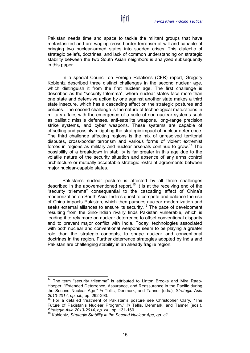Pakistan needs time and space to tackle the militant groups that have metastasized and are waging cross-border terrorism at will and capable of bringing two nuclear-armed states into sudden crises. This dialectic of strategic beliefs, doctrines, and lack of common understanding on strategic stability between the two South Asian neighbors is analyzed subsequently in this paper.

In a special Council on Foreign Relations (CFR) report, Gregory Koblentz described three distinct challenges in the second nuclear age, which distinguish it from the first nuclear age. The first challenge is described as the "security trilemma", where nuclear states face more than one state and defensive action by one against another state makes a third state insecure, which has a cascading affect on the strategic postures and policies. The second challenge is the nature of technological maturations in military affairs with the emergence of a suite of non-nuclear systems such as ballistic missile defenses, anti-satellite weapons, long-range precision strike systems, and cyber weapons. These systems are capable of offsetting and possibly mitigating the strategic impact of nuclear deterrence. The third challenge affecting regions is the mix of unresolved territorial disputes, cross-border terrorism and various forms of violent extremist forces in regions as military and nuclear arsenals continue to grow.<sup>[14](#page-16-0)</sup> The possibility of a breakdown in stability is far greater in this age due to the volatile nature of the security situation and absence of any arms control architecture or mutually acceptable strategic restraint agreements between major nuclear-capable states.

Pakistan's nuclear posture is affected by all three challenges described in the abovementioned report. [15](#page-16-1) It is at the receiving end of the "security trilemma" consequential to the cascading affect of China's modernization on South Asia. India's quest to compete and balance the rise of China impacts Pakistan, which then pursues nuclear modernization and seeks external alliances to ensure its security.<sup>[16](#page-16-2)</sup> The pace of development resulting from the Sino-Indian rivalry finds Pakistan vulnerable, which is leading it to rely more on nuclear deterrence to offset conventional disparity and to prevent major conflict with India. Today, technologies associated with both nuclear and conventional weapons seem to be playing a greater role than the strategic concepts, to shape nuclear and conventional doctrines in the region. Further deterrence strategies adopted by India and Pakistan are challenging stability in an already fragile region.

<span id="page-16-0"></span><sup>&</sup>lt;sup>14</sup> The term "security trilemma" is attributed to Linton Brooks and Mira Raap-Hooper, "Extended Deterrence, Assurance, and Reassurance in the Pacific during the Second Nuclear Age," *in* Tellis, Denmark, and Tanner (eds.), *Strategic Asia 2013-2014*, *op. cit.,* pp. 292-293.

<span id="page-16-1"></span><sup>&</sup>lt;sup>15</sup> For a detailed treatment of Pakistan's posture see Christopher Clary, "The Future of Pakistan's Nuclear Program," *in* Tellis, Denmark, and Tanner (eds.), *Strategic Asia 2013-2014*, *op. cit.,* pp. 131-160.

<span id="page-16-2"></span><sup>16</sup> Koblentz, *Strategic Stability in the Second Nuclear Age*, *op. cit.*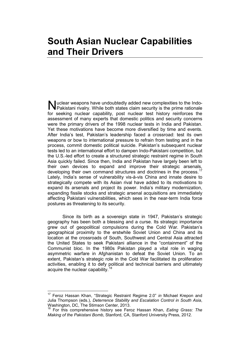### <span id="page-18-0"></span>**South Asian Nuclear Capabilities and Their Drivers**

Muclear weapons have undoubtedly added new complexities to the Indo-<br>Pakistani rivalry. While both states claim security is the prime rationale Pakistani rivalry. While both states claim security is the prime rationale for seeking nuclear capability, post nuclear test history reinforces the assessment of many experts that domestic politics and security concerns were the primary drivers of the 1998 nuclear tests in India and Pakistan. Yet these motivations have become more diversified by time and events. After India's test, Pakistan's leadership faced a crossroad: test its own weapons or bow to international pressure to refrain from testing and in the process, commit domestic political suicide. Pakistan's subsequent nuclear tests led to an international effort to dampen Indo-Pakistani competition, but the U.S.-led effort to create a structured strategic restraint regime in South Asia quickly failed. Since then, India and Pakistan have largely been left to their own devices to expand and improve their strategic arsenals, developing their own command structures and doctrines in the process.<sup>[17](#page-18-1)</sup> Lately, India's sense of vulnerability vis-à-vis China and innate desire to strategically compete with its Asian rival have added to its motivations to expand its arsenals and project its power. India's military modernization, expanding fissile stocks and strategic arsenal acquisitions are immediately affecting Pakistani vulnerabilities, which sees in the near-term India force postures as threatening to its security.

Since its birth as a sovereign state in 1947, Pakistan's strategic geography has been both a blessing and a curse. Its strategic importance grew out of geopolitical compulsions during the Cold War. Pakistan's geographical proximity to the erstwhile Soviet Union and China and its location at the crossroads of South, Southwest and Central Asia attracted the United States to seek Pakistani alliance in the "containment" of the Communist bloc. In the 1980s Pakistan played a vital role in waging asymmetric warfare in Afghanistan to defeat the Soviet Union. To an extent, Pakistan's strategic role in the Cold War facilitated its proliferation activities, enabling it to defy political and technical barriers and ultimately acquire the nuclear capability.<sup>[18](#page-18-2)</sup>

<span id="page-18-1"></span> <sup>17</sup> Feroz Hassan Khan, "Strategic Restraint Regime 2.0" *in* Michael Krepon and Julia Thompson (eds.), *Deterrence Stability and Escalation Control in South Asia*, Washington, DC, The Stimson Center, 2013.

<span id="page-18-2"></span><sup>18</sup> For this comprehensive history see Feroz Hassan Khan, *Eating Grass: The Making of the Pakistani Bomb*, Stanford, CA, Stanford University Press, 2012.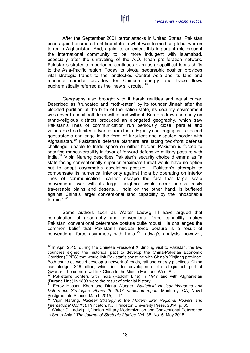After the September 2001 terror attacks in United States, Pakistan once again became a front line state in what was termed as global war on terror in Afghanistan. And, again, to an extent this important role brought the international community to be more indulgent with Islamabad, especially after the unraveling of the A.Q. Khan proliferation network. Pakistan's strategic importance continues even as geopolitical locus shifts to the Asia-Pacific region. Today its pivotal geographic position provides vital strategic transit to the landlocked Central Asia and its land and maritime corridor provides for Chinese energy and trade flows euphemistically referred as the "new silk route."<sup>[19](#page-19-0)</sup>

ifri

Geography also brought with it harsh realities and equal curse. Described as "truncated and moth-eaten" by its founder Jinnah after the blooded partition at the birth of the nation-state, its security environment was never tranquil both from within and without. Borders drawn primarily on ethno-religious districts produced an elongated geography, which saw Pakistan's lines of communication run perilously close, parallel and vulnerable to a limited advance from India. Equally challenging is its second geostrategic challenge in the form of turbulent and disputed border with Afghanistan.[20](#page-19-1) Pakistan's defense planners are facing two-front defense challenge; unable to trade space on either border, Pakistan is forced to sacrifice maneuverability in favor of forward defensive military posture with India.<sup>[21](#page-19-2)</sup> Vipin Narang describes Pakistan's security choice dilemma as "a state facing conventionally superior proximate threat would have no option but to adopt asymmetric escalation posture… Pakistan's attempts to compensate its numerical inferiority against India by operating on interior lines of communication, cannot escape the fact that large scale conventional war with its larger neighbor would occur across easily traversable plains and deserts… India on the other hand, is buffered against China's larger conventional land capability by the inhospitable terrain."<sup>[22](#page-19-3)</sup>

Some authors such as Walter Ladwig III have argued that combination of geography and conventional force capability makes Pakistani conventional deterrence posture quite robust. He challenges the common belief that Pakistan's nuclear force posture is a result of conventional force asymmetry with India. $^{23}$  $^{23}$  $^{23}$  Ladwig's analysis, however,

<span id="page-19-0"></span> $19$  In April 2015, during the Chinese President Xi Jinping visit to Pakistan, the two countries signed the historical pact to develop the China-Pakistan Economic Corridor (CPEC) that would link Pakistan's coastline with China's Xinjiang province. Both countries would develop a network of roads, rail and energy pipelines. China has pledged \$46 billion, which includes development of strategic hub port at Gwadar. The corridor will link China to the Middle East and West Asia.

<span id="page-19-1"></span>Pakistan's borders with India (Radcliff Line) in 1947 and with Afghanistan (Durand Line) in 1893 were the result of colonial history. 21 Feroz Hassan Khan and Diana Wueger, *Battlefield Nuclear Weapons and* 

<span id="page-19-2"></span>*Deterrence Strategies: Phase III, 2014 workshop report*, Monterey, CA, Naval Postgraduate School, March 2015, p. 14.

<span id="page-19-3"></span><sup>22</sup> Vipin Narang, *Nuclear Strategy in the Modern Era: Regional Powers and International Conflict*, Princeton, NJ, Princeton University Press, 2014, p. 35.<br><sup>23</sup> Walter C. Ladwig III, "Indian Military Modernization and Conventional Deterrence

<span id="page-19-4"></span>in South Asia," *The Journal of Strategic Studies,* Vol. 38, No. 5, May 2015.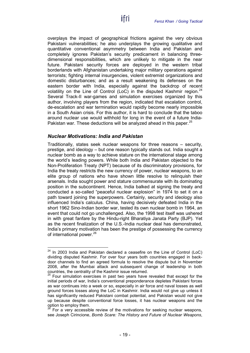overplays the impact of geographical frictions against the very obvious Pakistani vulnerabilities; he also underplays the growing qualitative and quantitative conventional asymmetry between India and Pakistan and completely ignores Pakistan's security predicament in balancing threedimensional responsibilities, which are unlikely to mitigate in the near future. Pakistani security forces are deployed in the western tribal borderlands with Afghanistan undertaking major military operations against terrorists; fighting internal insurgencies, violent extremist organizations and domestic disturbances; and as a result weakening its defenses on the eastern border with India, especially against the backdrop of recent volatility on the Line of Control (LoC) in the disputed Kashmir region.<sup>[24](#page-20-1)</sup> Several Track-II war-games and simulation exercises organized by this author, involving players from the region, indicated that escalation control, de-escalation and war termination would rapidly become nearly impossible in a South Asian crisis. For this author, it is hard to conclude that the taboo around nuclear use would withhold for long in the event of a future India-Pakistan war. These deductions will be analyzed ahead in this paper. $^{25}$  $^{25}$  $^{25}$ 

#### <span id="page-20-0"></span>*Nuclear Motivations: India and Pakistan*

Traditionally, states seek nuclear weapons for three reasons – security, prestige, and ideology – but one reason typically stands out. India sought a nuclear bomb as a way to achieve stature on the international stage among the world's leading powers. While both India and Pakistan objected to the Non-Proliferation Treaty (NPT) because of its discriminatory provisions, for India the treaty restricts the new currency of power, nuclear weapons, to an elite group of nations who have shown little resolve to relinquish their arsenals. India sought power and stature commensurate with its dominating position in the subcontinent. Hence, India balked at signing the treaty and conducted a so-called "peaceful nuclear explosion" in 1974 to set it on a path toward joining the superpowers. Certainly, security and ideology also influenced India's calculus. China, having decisively defeated India in the short 1962 Sino-Indian border war, tested its own nuclear bomb in 1964, an event that could not go unchallenged. Also, the 1998 test itself was ushered in with great fanfare by the Hindu-right Bharatiya Janata Party (BJP). Yet as the recent finalization of the U.S.-India nuclear deal has demonstrated, India's primary motivation has been the prestige of possessing the currency of international power.<sup>[26](#page-20-3)</sup>

<span id="page-20-1"></span> $24$  In 2003 India and Pakistan declared a ceasefire on the Line of Control (LoC) dividing disputed Kashmir. For over four years both countries engaged in backdoor channels to find an agreed formula to resolve the dispute but in November 2008, after the Mumbai attack and subsequent change of leadership in both countries, the centrality of the Kashmir issue returned.

<span id="page-20-2"></span><sup>25</sup> Four simulation exercises in past two years have revealed that except for the initial periods of war, India's conventional preponderance depletes Pakistani forces as war continues into a week or so, especially in air force and naval losses as well ground forces losses along the LoC in Kashmir. India would not give up unless it has significantly reduced Pakistani combat potential, and Pakistan would not give up because despite conventional force losses, it has nuclear weapons and the  $\frac{1}{26}$  option to employ them.

<span id="page-20-3"></span><sup>26</sup> For a very accessible review of the motivations for seeking nuclear weapons, see Joseph Cirincione, *Bomb Scare: The History and Future of Nuclear Weapons*,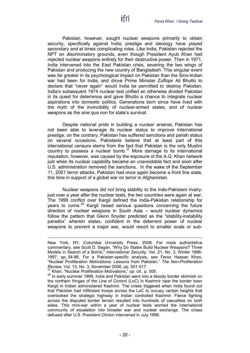Pakistan, however, sought nuclear weapons primarily to obtain security, specifically against India; prestige and ideology have played secondary and at times complicating roles. Like India, Pakistan rejected the NPT on discriminatory grounds, even though President Ayub Khan had rejected nuclear weapons entirely for their destructive power. Then in 1971, India intervened into the East Pakistan crisis, severing the two wings of Pakistan and producing the new country of Bangladesh. This singular event was far greater in its psychological impact on Pakistan than the Sino-Indian war had been for India, and drove Prime Minister Zulfiqar Ali Bhutto to declare that "never again" would India be permitted to destroy Pakistan. India's subsequent 1974 nuclear test unified an otherwise divided Pakistan in its quest for deterrence and gave Bhutto a chance to integrate nuclear aspirations into domestic politics. Generations born since have lived with the myth of the invincibility of nuclear-armed states, and of nuclear weapons as the *sine qua non* for state's survival.

ifri

Despite national pride in building a nuclear arsenal, Pakistan has not been able to leverage its nuclear status to improve international prestige; on the contrary, Pakistan has suffered sanctions and pariah status on several occasions. Pakistanis believe that at least part of this international censure stems from the fact that Pakistan is the only Muslim country to possess a nuclear bomb. $27$  More damage to its international reputation, however, was caused by the exposure of the A.Q. Khan network just when its nuclear capability became an unavoidable fact and soon after U.S. administration removed the sanctions. In the wake of the September 11, 2001 terror attacks, Pakistan had once again become a front line state, this time in support of a global war on terror in Afghanistan.

Nuclear weapons did not bring stability to the Indo-Pakistani rivalry: just over a year after the nuclear tests, the two countries were again at war. The 1999 conflict over Kargil defined the India-Pakistan relationship for years to come.<sup>[28](#page-21-1)</sup> Kargil raised serious questions concerning the future direction of nuclear weapons in South Asia – would nuclear dynamics follow the pattern that Glenn Snyder predicted as the "stability-instability paradox" wherein states, confident in the deterrent power of nuclear weapons to prevent a major war, would resort to smaller scale or sub-

 $\overline{a}$ New York, NY, Columbia University Press, 2008. For more authoritative commentary, see Scott D. Sagan, "Why Do States Build Nuclear Weapons? Three Models in Search of a Bomb," *International Security*, Vol. 21, No. 3, Winter 1996- 1997, pp. 54-86. For a Pakistan-specific analysis, see Feroz Hassan Khan, "Nuclear Proliferation Motivations: Lessons from Pakistan," *The Non-Proliferation Review*, Vol. 13, No. 3, November 2006, pp. 501-517.

<span id="page-21-0"></span><sup>27</sup> Khan, "Nuclear Proliferation Motivations," *op. cit.,* p. 505.

<span id="page-21-1"></span><sup>&</sup>lt;sup>28</sup> In early summer 1999, India and Pakistan went into a bloody border skirmish on the northern fringes of the Line of Control (LoC) in Kashmir near the border town Kargil in Indian administered Kashmir. The crises triggered when India found out that Pakistan had infiltrated troops across the LoC to occupy certain heights that overlooked the strategic highway in Indian controlled Kashmir. Fierce fighting across the disputed border terrain resulted into hundreds of casualties on both sides. This mini-war within a year of nuclear tests worried the international community of escalation into broader war and nuclear exchange. The crises defused after U.S. President Clinton intervened in July 1999.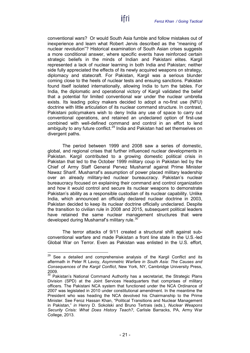conventional wars? Or would South Asia fumble and follow mistakes out of inexperience and learn what Robert Jervis described as the "meaning of nuclear revolution"? Historical examination of South Asian crises suggests a more conditional answer, where specific events have reinforced certain strategic beliefs in the minds of Indian and Pakistani elites. Kargil represented a lack of nuclear learning in both India and Pakistan; neither side fully appreciated the effects of its newly acquired weapons on strategy, diplomacy and statecraft. For Pakistan, Kargil was a serious blunder coming close to the heels of nuclear tests and ensuing sanctions. Pakistan found itself isolated internationally, allowing India to turn the tables. For India, the diplomatic and operational victory of Kargil validated the belief that a potential for limited conventional war under the nuclear umbrella exists. Its leading policy makers decided to adopt a no-first use (NFU) doctrine with little articulation of its nuclear command structure. In contrast, Pakistani policymakers wish to deny India any use of space to carry out conventional operations, and retained an undeclared option of first-use combined with well-defined command and control in an effort to lend ambiguity to any future conflict.<sup>[29](#page-22-0)</sup> India and Pakistan had set themselves on divergent paths.

ifri

The period between 1999 and 2008 saw a series of domestic, global, and regional crises that further influenced nuclear developments in Pakistan. Kargil contributed to a growing domestic political crisis in Pakistan that led to the October 1999 military coup in Pakistan led by the Chief of Army Staff General Pervez Musharraf against Prime Minister Nawaz Sharif. Musharraf's assumption of power placed military leadership over an already military-led nuclear bureaucracy. Pakistan's nuclear bureaucracy focused on explaining their command and control organization and how it would control and secure its nuclear weapons to demonstrate Pakistan's ability as a responsible custodian of its nuclear capability. Unlike India, which announced an officially declared nuclear doctrine in 2003, Pakistan decided to keep its nuclear doctrine officially undeclared. Despite the transition to civilian rule in 2008 and 2015, subsequent political leaders have retained the same nuclear management structures that were developed during Musharraf's military rule.<sup>[30](#page-22-1)</sup>

The terror attacks of 9/11 created a structural shift against subconventional warfare and made Pakistan a front line state in the U.S.-led Global War on Terror. Even as Pakistan was enlisted in the U.S. effort,

<span id="page-22-0"></span> $29$  See a detailed and comprehensive analysis of the Kargil Conflict and its aftermath in Peter R Lavoy, *Asymmetric Warfare in South Asia: The Causes and Consequences of the Kargil Conflict*, New York, NY, Cambridge University Press,  $^{2009.}_{30}$ 

<span id="page-22-1"></span><sup>30</sup> Pakistan's National Command Authority has a secretariat, the Strategic Plans Division (SPD) at the Joint Services Headquarters that comprises of military officers. The Pakistani NCA system that functioned under the NCA Ordinance of 2007 was legislated in 2010 under constitutional amendment. In the meantime the President who was heading the NCA devolved his Chairmanship to the Prime Minister. See Feroz Hassan Khan, "Political Transitions and Nuclear Management in Pakistan," *in* Henry D. Sokolski and Bruno Tertrais (eds.), *Nuclear Weapons Security Crisis: What Does History Teach?*, Carlisle Barracks, PA, Army War College, 2013.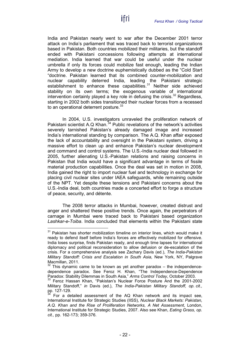India and Pakistan nearly went to war after the December 2001 terror attack on India's parliament that was traced back to terrorist organizations based in Pakistan. Both countries mobilized their militaries, but the standoff ended with Pakistani concessions following attempts at international mediation. India learned that war could be useful under the nuclear umbrella if only its forces could mobilize fast enough, leading the Indian Army to develop a new doctrine euphemistically dubbed as the "Cold Start "doctrine. Pakistan learned that its combined counter-mobilization and nuclear capability deterred India, leading the Pakistani strategic establishment to enhance these capabilities. $31$  Neither side achieved stability on its own terms; the exogenous variable of international intervention certainly played a key role in defusing the crisis.<sup>[32](#page-23-1)</sup> Regardless, starting in 2002 both sides transitioned their nuclear forces from a recessed to an operational deterrent posture.<sup>[33](#page-23-2)</sup>

In 2004, U.S. investigators unraveled the proliferation network of Pakistani scientist A.Q Khan.<sup>[34](#page-23-3)</sup> Public revelations of the network's activities severely tarnished Pakistan's already damaged image and increased India's international standing by comparison. The A.Q. Khan affair exposed the lack of accountability and oversight in the Pakistani system, driving a massive effort to clean up and enhance Pakistan's nuclear development and command and control systems. The U.S.-India nuclear deal followed in 2005, further alienating U.S.-Pakistan relations and raising concerns in Pakistan that India would have a significant advantage in terms of fissile material production capabilities. Once the deal was set in motion in 2008, India gained the right to import nuclear fuel and technology in exchange for placing civil nuclear sites under IAEA safeguards, while remaining outside of the NPT. Yet despite these tensions and Pakistani concerns about the U.S.-India deal, both countries made a concerted effort to forge a structure of peace, security, and détente.

The 2008 terror attacks in Mumbai, however, created distrust and anger and shattered these positive trends. Once again, the perpetrators of carnage in Mumbai were traced back to Pakistani based organization *Lashkar-e-Toiba*. India concluded that elements within the Pakistani state

<span id="page-23-0"></span> $31$  Pakistan has shorter mobilization timeline on interior lines, which would make it ready to defend itself before India's forces are effectively mobilized for offensive. India loses surprise, finds Pakistan ready, and enough time lapses for international diplomacy and political reconsideration to allow defusion or de-escalation of the crisis. For a comprehensive analysis see Zachary Davis (ed.), *The India-Pakistan Military Standoff: Crisis and Escalation in South Asia, New York, NY, Palgrave* Macmillan, 2011.

<span id="page-23-1"></span>This dynamic came to be known as yet another paradox  $-$  the independencedependence paradox. See Feroz H. Khan, "The Independence-Dependence Paradox: Stability Dilemmas in South Asia," *Arms Control Today*, October 2003.

<span id="page-23-2"></span><sup>33</sup> Feroz Hassan Khan, "Pakistan's Nuclear Force Posture And the 2001-2002 Military Standoff," *in* Davis (ed.), *The India-Pakistan Military Standoff, op. cit.,*  pp. 127-129.

<span id="page-23-3"></span>For a detailed assessment of the AQ Khan network and its impact see, International Institute for Strategic Studies (IISS), *Nuclear Black Markets: Pakistan, A.Q. Khan and the Rise of Proliferation Networks, A Net Assessment*, London, International Institute for Strategic Studies, 2007. Also see Khan, *Eating Grass, op. cit.,* pp. 162-173; 359-376.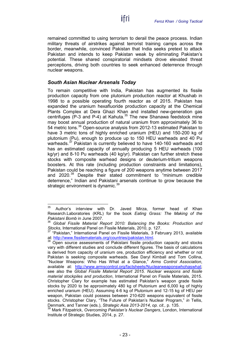remained committed to using terrorism to derail the peace process. Indian military threats of airstrikes against terrorist training camps across the border, meanwhile, convinced Pakistan that India seeks pretext to attack Pakistan and intends to keep Pakistan weak by eliminating Pakistan's potential. These shared conspiratorial mindsets drove elevated threat perceptions, driving both countries to seek enhanced deterrence through nuclear weapons.

ifri

### <span id="page-24-0"></span>*South Asian Nuclear Arsenals Today*

To remain competitive with India, Pakistan has augmented its fissile production capacity from one plutonium production reactor at Khushab in 1998 to a possible operating fourth reactor as of 2015. Pakistan has expanded the uranium hexafluoride production capacity at the Chemical Plants Complex at Dera Ghazi Khan and installed new-generation gas centrifuges (P-3 and P-4) at Kahuta. $35$  The new Shanawa feedstock mine may boost annual production of natural uranium from approximately 36 to 54 metric tons.<sup>[36](#page-24-2)</sup> Open-source analysis from 2012-13 estimated Pakistan to have 3 metric tons of highly enriched uranium (HEU) and 150-200 kg of plutonium (Pu), enough to produce up to 150 HEU warheads and 40 Pu warheads.<sup>[37](#page-24-3)</sup> Pakistan is currently believed to have 140-160 warheads and has an estimated capacity of annually producing 5 HEU warheads (100 kg/yr) and 8-10 Pu warheads (40 kg/yr). Pakistan can further stretch these stocks with composite warhead designs or deuterium-tritium weapons boosters. At this rate (including production constraints and limitations), Pakistan could be reaching a figure of 200 weapons anytime between 2017 and 2020.<sup>[38](#page-24-4)</sup> Despite their stated commitment to "minimum credible deterrence," Indian and Pakistani arsenals continue to grow because the strategic environment is dynamic.<sup>[39](#page-24-5)</sup>

<span id="page-24-1"></span><sup>&</sup>lt;sup>35</sup> Author's interview with Dr. Javed Mirza, former head of Khan Research.Laboratories (KRL) for the book *Eating Grass: The Making of the Pakistani Bomb* in June 2007.

<span id="page-24-2"></span><sup>36</sup> *Global Fissile Material Report 2010: Balancing the Books: Production and Stocks*, International Panel on Fissile Materials, 2010, p. 127.<br><sup>37</sup> "Pakistan," International Panel on Fissile Materials, 3 February 2013, available

<span id="page-24-3"></span>at: [http://www.fissilematerials.org/countries/pakistan.html.](http://www.fissilematerials.org/countries/pakistan.html)<br><sup>38</sup> Open source assessments of Pakistani fissile production capacity and stocks

<span id="page-24-4"></span>vary with different studies and conclude different figures. The basis of calculations is derived from capacity of uranium ore, production efficiency and whether or not Pakistan is seeking composite warheads. See Daryl Kimball and Tom Collina, "Nuclear Weapons: Who Has What at a Glance," *Arms Control Association*, available at: [http://www.armscontrol.org/factsheets/Nuclearweaponswhohaswhat;](http://www.armscontrol.org/factsheets/Nuclearweaponswhohaswhat) see also the *Global Fissile Material Report 2015*. *Nuclear weapons and fissile material stockpiles and production*, International Panel on Fissile Materials, 2015. Christopher Clary for example has estimated Pakistan's weapon grade fissile stocks by 2020 to be approximately 480 kg of Plutonium and 6,000 kg of highly enriched uranium (HEU). Assuming 4-6 kg of Plutonium and 12-15 kg of HEU per weapon, Pakistan could possess between 210-620 weapons equivalent of fissile stocks. Christopher Clary, "The Future of Pakistan's Nuclear Program," *in* Tellis, Denmark, and Tanner (eds.), *Strategic Asia 2013-2014, op. cit., p. 135.*<br><sup>39</sup> Mark Fitzpatrick, *Overcoming Pakistan's Nuclear Dangers*, London, International

<span id="page-24-5"></span>Institute of Strategic Studies, 2014, p. 27.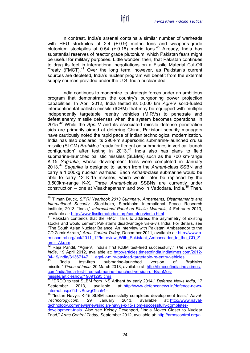In contrast, India's arsenal contains a similar number of warheads with HEU stockpiles at 2.4  $(\pm 0.9)$  metric tons and weapons-grade plutonium stockpiles at 0.54 ( $\pm$  0.18) metric tons.<sup>[40](#page-25-0)</sup> Already, India has substantial reserves of reactor grade plutonium, which Pakistan fears might be useful for military purposes. Little wonder, then, that Pakistan continues to drag its feet in international negotiations on a Fissile Material Cut-Off Treaty (FMCT).<sup>[41](#page-25-1)</sup> Over the long term, however, as Pakistan's current sources are depleted, India's nuclear program will benefit from the external supply sources provided under the U.S.-India nuclear deal.

ifri

India continues to modernize its strategic forces under an ambitious program that demonstrates the country's burgeoning power projection capabilities. In April 2012, India tested its 5,000 km *Agni*-V solid-fueled intercontinental ballistic missile (ICBM) that may be equipped with multiple independently targetable reentry vehicles (MIRVs) to penetrate and defeat enemy missile defenses when the system becomes operational in 2015. [42](#page-25-2) While the *Agni*-V and its associated missile defense penetration aids are primarily aimed at deterring China, Pakistani security managers have cautiously noted the rapid pace of Indian technological modernization. India has also declared its 290-km supersonic submarine-launched cruise missile (SLCM) *BrahMos* "ready for fitment on submarines in vertical launch configuration" after testing in 2013.<sup>[43](#page-25-3)</sup> India also has plans to field submarine-launched ballistic missiles (SLBMs) such as the 700 km-range K-15 *Sagarika*, whose development trials were completed in January 2013.[44](#page-25-4) *Sagarika* is designed to launch from the *Arihant*-class SSBN and carry a 1,000kg nuclear warhead. Each *Arihant*-class submarine would be able to carry 12 K-15 missiles, which would later be replaced by the 3,500km-range K-X. Three *Arihant*-class SSBNs are currently under construction – one at Visakhapatnam and two in Vadodara, India.<sup>[45](#page-25-5)</sup> Then,

<span id="page-25-0"></span> <sup>40</sup> Tilman Bruck, *SIPRI Yearbook 2013 Summary: Armaments, Disarmaments and International Security*, Stockholm, Stockholm International Peace Research Institute, 2013. "India," *International Panel on Fissile Materials*, 4 February 2013, available at: http://www.fissilematerials.org/countries/india.html.

<span id="page-25-1"></span><sup>&</sup>lt;sup>41</sup> Pakistan contends that the FMCT fails to address the asymmetry of existing stocks and would cement Pakistan's disadvantage vis-à-vis India. For details, see "The South Asian Nuclear Balance: An Interview with Pakistani Ambassador to the CD Zamir Akram," *Arms Control Today,* December 2011, available at: [http://www.a](http://www.armscontrol.org/act/2011_12/Interview_With_Pakistani_Ambassador_to_the_CD_Zamir_Akram) [rmscontrol.org/act/2011\\_12/Interview\\_With\\_Pakistani\\_Ambassador\\_to\\_the\\_CD\\_Z](http://www.armscontrol.org/act/2011_12/Interview_With_Pakistani_Ambassador_to_the_CD_Zamir_Akram)

<span id="page-25-2"></span>[amir\\_Akram.](http://www.armscontrol.org/act/2011_12/Interview_With_Pakistani_Ambassador_to_the_CD_Zamir_Akram) <sup>42</sup> Raja Pandit, "Agni-V, India's first ICBM test-fired successfully," *The Times of India*, 19 April 2012, available at: [http://articles.timesofindia.indiatimes.com/2012-](http://articles.timesofindia.indiatimes.com/2012-04-19/india/31367147_1_agni-v-mirv-payload-targetable-re-entry-vehicles) [04-19/india/31367147\\_1\\_agni-v-mirv-payload-targetable-re-entry-vehicles.](http://articles.timesofindia.indiatimes.com/2012-04-19/india/31367147_1_agni-v-mirv-payload-targetable-re-entry-vehicles)<br><sup>[43](http://articles.timesofindia.indiatimes.com/2012-04-19/india/31367147_1_agni-v-mirv-payload-targetable-re-entry-vehicles)</sup> "India test-fires submarine-launched version of BrahMos

<span id="page-25-3"></span>missile," *Times of India*, 20 March 2013, available at: [http://timesofindia.indiatimes.](http://timesofindia.indiatimes.com/india/India-test-fires-submarine-launched-version-of-BrahMos-missile/articleshow/19091295.cms) [com/india/India-test-fires-submarine-launched-version-of-BrahMos](http://timesofindia.indiatimes.com/india/India-test-fires-submarine-launched-version-of-BrahMos-missile/articleshow/19091295.cms)[missile/articleshow/19091295.cms](http://timesofindia.indiatimes.com/india/India-test-fires-submarine-launched-version-of-BrahMos-missile/articleshow/19091295.cms)

<span id="page-25-4"></span><sup>44</sup> "DRDO to test SLBM from INS Arihant by early 2014," *Defence News India*, 17 September 2013, available at: [http://www.defencenews.in/defence-news](http://www.defencenews.in/defence-news-internal.aspx?id=vSuwgGIcah4=)[internal.aspx?id=vSuwgGIcah4=](http://www.defencenews.in/defence-news-internal.aspx?id=vSuwgGIcah4=)

<span id="page-25-5"></span><sup>45</sup> "Indian Navy's K-15 SLBM successfully completes development trials," *Naval-Technology.com,* 29 January 2013, available at: [http://www.naval](http://www.naval-technology.com/news/newsindian-navys-k-15-slbm-successfully-completes-development-trials)[technology.com/news/newsindian-navys-k-15-slbm-successfully-completes-](http://www.naval-technology.com/news/newsindian-navys-k-15-slbm-successfully-completes-development-trials)

[development-trials.](http://www.naval-technology.com/news/newsindian-navys-k-15-slbm-successfully-completes-development-trials) Also see Kelsey Devenport, "India Moves Closer to Nuclear Triad," *Arms Control Today*, September 2012, available at: [http://armscontrol.org/a](http://armscontrol.org/act/2012_09/India-Moves-Closer-to-Nuclear-Triad)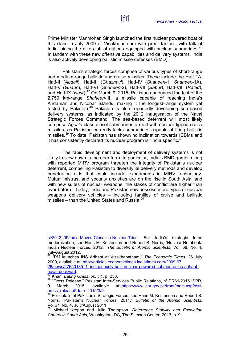Prime Minister Manmohan Singh launched the first nuclear powered boat of this class in July 2009 at Visakhapatnam with great fanfare, with talk of India joining the elite club of nations equipped with nuclear submarines. $46$ In tandem with these new offensive capabilities and delivery systems, India is also actively developing ballistic missile defenses (BMD).

ifri

Pakistan's strategic forces comprise of various types of short-range and medium-range ballistic and cruise missiles. These include the Hatf-1A, Hatf-II (*Abdali*), Hatf-III (*Ghaznavi*), Hatf-IV (*Shaheen*-1, *Shaheen*-1A), Hatf-V (*Ghauri*), Hatf-VI (*Shaheen*-2), Hatf-VII (*Babur*), Hatf-VIII (*Ra'ad*), and Hatf-IX (*Nasr*). [47](#page-26-1) On March 9, 2015, Pakistan announced the test of the 2,750 km-range *Shaheen*-III, a missile capable of reaching India's Andaman and Nicobar Islands, making it the longest-range system yet tested by Pakistan.<sup>[48](#page-26-2)</sup> Pakistan is also reportedly developing sea-based delivery systems, as indicated by the 2012 inauguration of the Naval Strategic Forces Command. The sea-based deterrent will most likely comprise *Agosta*-class diesel submarines armed with nuclear-tipped cruise missiles, as Pakistan currently lacks submarines capable of firing ballistic missiles. [49](#page-26-3) To date, Pakistan has shown no inclination towards ICBMs and it has consistently declared its nuclear program is "India specific."

The rapid development and deployment of delivery systems is not likely to slow down in the near term. In particular, India's BMD gambit along with reported MIRV program threaten the integrity of Pakistan's nuclear deterrent, compelling Pakistan to diversify its delivery methods and develop penetration aids that could include experiments in MIRV technology. Mutual mistrust and security anxieties are on the rise in South Asia, and with new suites of nuclear weapons, the stakes of conflict are higher than ever before. Today, India and Pakistan now possess more types of nuclear weapons delivery vehicles – including families of cruise and ballistic missiles – than the United States and Russia. [50](#page-26-4)

 $\overline{a}$ 

ct/2012\_09/India-Moves-Closer-to-Nuclear-Triad. For India's strategic force modernization, see Hans M. Kristensen and Robert S. Norris, "Nuclear Notebook: Indian Nuclear Forces, 2012," *The Bulletin of Atomic Scientists*, Vol. 68, No. 4, July/August 2012.

<span id="page-26-0"></span><sup>46</sup> "PM launches INS Arihant at Visakhapatnam," *The Economic Times*, 26 July 2009, available at: [http://articles.economictimes.indiatimes.com/2009-07](http://articles.economictimes.indiatimes.com/2009-07%20%2026/news/27650185_1_indigenously-built-nuclear-powered-submarine-ins-arihant-naval-dockyard)  26/news/27650185\_1\_indigenously-built-nuclear-powered-submarine-ins-arihant-<br>naval-dockyard.

<span id="page-26-2"></span><span id="page-26-1"></span><sup>&</sup>lt;sup>[47](http://articles.economictimes.indiatimes.com/2009-07%20%2026/news/27650185_1_indigenously-built-nuclear-powered-submarine-ins-arihant-naval-dockyard)</sup> Khan, *Eating Grass, op. cit.,* p. 250.<br><sup>48</sup> "Press Release," Pakistan Inter-Services Public Relations, n° PR61/2015 ISPR, 9 March 2015, available at: https://www.ispr.gov.pk/front/main.asp?o=t-<br>press\_release&date=2015/3/9.<br><sup>49</sup> Eor.detaile.of.Dakistan's.0test -

<span id="page-26-3"></span>For details of Pakistan's Strategic Forces, see Hans M. Kristensen and Robert S. Norris, "Pakistan's Nuclear Forces, 2011," *Bulletin of the Atomic Scientists*, Vol.67, No. 4, July/August 2011.

<span id="page-26-4"></span><sup>50</sup> Michael Krepon and Julia Thompson, *Deterrence Stability and Escalation Control in South Asia,* Washington, DC, The Stimson Center, 2013, p. 9.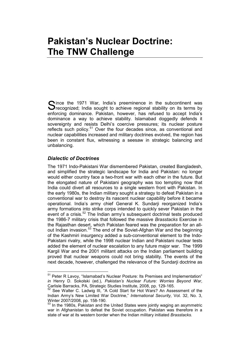## <span id="page-28-0"></span>**Pakistan's Nuclear Doctrine: The TNW Challenge**

ince the 1971 War, India's preeminence in the subcontinent was Since the 1971 War, India's preeminence in the subcontinent was<br>
Srecognized; India sought to achieve regional stability on its terms by enforcing dominance. Pakistan, however, has refused to accept India's dominance a way to achieve stability. Islamabad doggedly defends it sovereignty and resists Delhi's coercive pressures; its nuclear posture reflects such policy.<sup>[51](#page-28-2)</sup> Over the four decades since, as conventional and nuclear capabilities increased and military doctrines evolved, the region has been in constant flux, witnessing a seesaw in strategic balancing and unbalancing.

#### <span id="page-28-1"></span>*Dialectic of Doctrines*

The 1971 Indo-Pakistani War dismembered Pakistan, created Bangladesh, and simplified the strategic landscape for India and Pakistan: no longer would either country face a two-front war with each other in the future. But the elongated nature of Pakistani geography was too tempting now that India could divert all resources to a single western front with Pakistan. In the early 1980s, the Indian military sought a strategy to defeat Pakistan in a conventional war to destroy its nascent nuclear capability before it became operational. India's army chief General K. Sundarji reorganized India's army formations into strike corps intended to quickly sever Pakistan in the event of a crisis.<sup>[52](#page-28-3)</sup> The Indian army's subsequent doctrinal tests produced the 1986-7 military crisis that followed the massive *Brasstacks* Exercise in the Rajasthan desert, which Pakistan feared was the preparation for an all-out Indian invasion.<sup>[53](#page-28-4)</sup> The end of the Soviet-Afghan War and the beginning of the Kashmiri insurgency added a sub-conventional element to the Indo-Pakistani rivalry, while the 1998 nuclear Indian and Pakistani nuclear tests added the element of nuclear escalation to any future major war. The 1999 Kargil War and the 2001 militant attacks on the Indian parliament building proved that nuclear weapons could not bring stability. The events of the next decade, however, challenged the relevance of the Sundarji doctrine as

<span id="page-28-2"></span><sup>&</sup>lt;sup>51</sup> Peter R Lavoy, "Islamabad's Nuclear Posture: Its Premises and Implementation" *in* Henry D. Sokolski (ed.), *Pakistan's Nuclear Future: Worries Beyond War*, Carlisle Barracks, PA, Strategic Studies Institute, 2008, pp. 129-165.

<span id="page-28-3"></span>See Walter C. Ladwig III, "A Cold Start for Hot Wars? An Assessment of the Indian Army's New Limited War Doctrine," *International Security,* Vol. 32, No. 3, Winter 2007/2008, pp. 158-190.

<span id="page-28-4"></span>In the 1980s, Pakistan and the United States were jointly waging an asymmetric war in Afghanistan to defeat the Soviet occupation. Pakistan was therefore in a state of war at its western border when the Indian military initiated *Brasstacks.*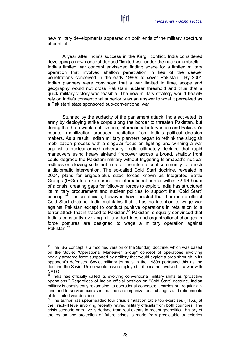new military developments appeared on both ends of the military spectrum of conflict.

ifri

A year after India's success in the Kargil conflict, India considered developing a new concept dubbed "limited war under the nuclear umbrella." India's limited war concept envisaged finding space for a limited military operation that involved shallow penetration in lieu of the deeper penetrations conceived in the early 1980s to sever Pakistan. By 2001 Indian planners were convinced that a war limited in time, scope and geography would not cross Pakistani nuclear threshold and thus that a quick military victory was feasible. The new military strategy would heavily rely on India's conventional superiority as an answer to what it perceived as a Pakistani state sponsored sub-conventional war.

Stunned by the audacity of the parliament attack, India activated its army by deploying strike corps along the border to threaten Pakistan, but during the three-week mobilization, international intervention and Pakistan's counter mobilization produced hesitation from India's political decision makers. As a result, Indian military planners began to rethink the sluggish mobilization process with a singular focus on fighting and winning a war against a nuclear-armed adversary. India ultimately decided that rapid maneuvers using heavy air-land firepower across a broad, shallow front could degrade the Pakistani military without triggering Islamabad's nuclear redlines or allowing sufficient time for the international community to launch a diplomatic intervention. The so-called Cold Start doctrine, revealed in 2004, plans for brigade-plus sized forces known as Integrated Battle Groups (IBGs) to strike across the international border within 72-96 hours of a crisis, creating gaps for follow-on forces to exploit. India has structured its military procurement and nuclear policies to support the "Cold Start" concept.<sup>54</sup> Indian officials, however, have insisted that there is no official Indian officials, however, have insisted that there is no official Cold Start doctrine. India maintains that it has no intention to wage war against Pakistan except to conduct punitive operations in retaliation to a terror attack that is traced to Pakistan. [55](#page-29-1) Pakistan is equally convinced that India's constantly evolving military doctrines and organizational changes in force postures are designed to wage a military operation against Pakistan<sup>[56](#page-29-2)</sup>

<span id="page-29-0"></span><sup>&</sup>lt;sup>54</sup> The IBG concept is a modified version of the Sundarji doctrine, which was based on the Soviet "Operational Maneuver Group" concept of operations involving heavily armored force supported by artillery that would exploit a breakthrough in its opponent's defenses. Soviet military journals in the 1980s portrayed this as the doctrine the Soviet Union would have employed if it became involved in a war with **NATO.** 

<span id="page-29-1"></span>India has officially called its evolving conventional military shifts as "proactive" operations." Regardless of Indian official position on "Cold Start" doctrine, Indian military is consistently revamping its operational concepts; it carries out regular airland and tri-service exercises that indicate organizational changes and refinements of its limited war doctrine.

<span id="page-29-2"></span><sup>&</sup>lt;sup>56</sup> The author has spearheaded four crisis simulation table top exercises (TTXs) at the Track-II level involving recently retired military officials from both countries. The crisis scenario narrative is derived from real events in recent geopolitical history of the region and projection of future crises is made from predictable trajectories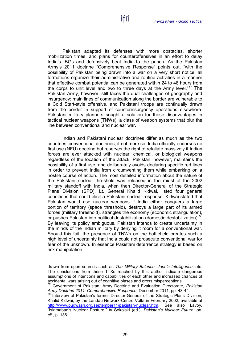Pakistan adapted its defenses with more obstacles, shorter mobilization times, and plans for counteroffensives in an effort to delay India's IBGs and defensively beat India to the punch. As the Pakistan Army's 2011 doctrine "Comprehensive Response" points out, "with the possibility of Pakistan being drawn into a war on a very short notice, all formations organize their administrative and routine activities in a manner that effective combat potential can be generated within 24 to 48 hours from the corps to unit level and two to three days at the Army level."<sup>[57](#page-30-0)</sup> The Pakistan Army, however, still faces the dual challenges of geography and insurgency: main lines of communication along the border are vulnerable to a Cold Start-style offensive, and Pakistani troops are continually drawn from the border in support of counterinsurgency operations elsewhere. Pakistani military planners sought a solution for these disadvantages in tactical nuclear weapons (TNWs), a class of weapon systems that blur the line between conventional and nuclear war.

Indian and Pakistani nuclear doctrines differ as much as the two countries' conventional doctrines, if not more so. India officially endorses no first use (NFU) doctrine but reserves the right to retaliate massively if Indian forces are ever attacked with nuclear, chemical, or biological weapons regardless of the location of the attack. Pakistan, however, maintains the possibility of a first use, and deliberately avoids declaring specific red lines in order to prevent India from circumventing them while embarking on a hostile course of action. The most detailed information about the nature of the Pakistani nuclear threshold was released in the midst of the 2002 military standoff with India, when then Director-General of the Strategic Plans Division (SPD), Lt. General Khalid Kidwai, listed four general conditions that could elicit a Pakistani nuclear response. Kidwai stated that Pakistan would use nuclear weapons if India either conquers a large portion of territory (space threshold), destroys a large part of its armed forces (military threshold), strangles the economy (economic strangulation), or pushes Pakistan into political destabilization (domestic destabilization).<sup>[58](#page-30-1)</sup> By leaving its policy ambiguous, Pakistan intends to create uncertainty in the minds of the Indian military by denying it room for a conventional war. Should this fail, the presence of TNWs on the battlefield creates such a high level of uncertainty that India could not prosecute conventional war for fear of the unknown. In essence Pakistani deterrence strategy is based on risk manipulation.

drawn from open sources such as *The Military Balance*, *Jane's Intelligence*, etc. The conclusions from these TTXs reached by this author indicate dangerous assumptions of intentions and capabilities of each other and increased chances of accidental wars arising out of cognitive biases and gross misperceptions.

<span id="page-30-0"></span><sup>57</sup> Government of Pakistan, Army Doctrine and Evaluation Directorate, *Pakistan Army Doctrine 2011: Comprehensive Response*, December 2011, pp. 43-44.

<span id="page-30-1"></span>Interview of Pakistan's former Director-General of the Strategic Plans Division, Khalid Kidwai, by the Landau Network-Centro Volta in February 2002, available at [http://www.pugwash.org/september11/pakistan-nuclear.htm.](http://www.pugwash.org/september11/pakistan-nuclear.htm) See also Lavoy, "Islamabad's Nuclear Posture," *in* Sokolski (ed.), *Pakistan's Nuclear Future*, *op. cit.,* p. 136.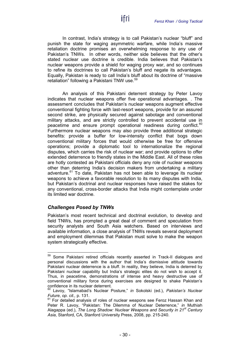In contrast, India's strategy is to call Pakistan's nuclear "bluff" and punish the state for waging asymmetric warfare, while India's massive retaliation doctrine promises an overwhelming response to any use of Pakistan's TNWs. In other words, neither side believes that the other's stated nuclear use doctrine is credible. India believes that Pakistan's nuclear weapons provide a shield for waging proxy war, and so continues to refine its doctrines to call Pakistan's bluff and negate its advantages. Equally, Pakistan is ready to call India's bluff about its doctrine of "massive retaliation" following a Pakistani TNW use.<sup>[59](#page-31-1)</sup>

ifri

An analysis of this Pakistani deterrent strategy by Peter Lavoy indicates that nuclear weapons offer five operational advantages. . The assessment concludes that Pakistan's nuclear weapons augment effective conventional fighting force with last-resort weapons, provide for an assured second strike, are physically secured against sabotage and conventional military attacks, and are strictly controlled to prevent accidental use in peacetime and ensure prompt operational readiness during conflict.<sup>[60](#page-31-2)</sup> Furthermore nuclear weapons may also provide three additional strategic benefits: provide a buffer for low-intensity conflict that bogs down conventional military forces that would otherwise be free for offensive operations; provide a diplomatic tool to internationalize the regional disputes, which carries the risk of nuclear war; and provide options to offer extended deterrence to friendly states in the Middle East. All of these roles are hotly contested as Pakistani officials deny any role of nuclear weapons other than deterring India's decision makers from undertaking a military adventure.<sup>[61](#page-31-3)</sup> To date, Pakistan has not been able to leverage its nuclear weapons to achieve a favorable resolution to its many disputes with India, but Pakistan's doctrinal and nuclear responses have raised the stakes for any conventional, cross-border attacks that India might contemplate under its limited war doctrine.

#### <span id="page-31-0"></span>*Challenges Posed by TNWs*

Pakistan's most recent technical and doctrinal evolution, to develop and field TNWs, has prompted a great deal of comment and speculation from security analysts and South Asia watchers. Based on interviews and available information, a close analysis of TNWs reveals several deployment and employment dilemmas that Pakistan must solve to make the weapon system strategically effective.

<span id="page-31-1"></span><sup>59</sup> Some Pakistani retired officials recently asserted in Track-II dialogues and personal discussions with the author that India's dismissive attitude towards Pakistani nuclear deterrence is a bluff. In reality, they believe, India is deterred by Pakistani nuclear capability but India's strategic elites do not wish to accept it. Thus, in peacetime, demonstrations of intense and heavy destructive use of conventional military force during exercises are designed to shake Pakistan's confidence in its nuclear deterrent.

<span id="page-31-2"></span><sup>60</sup> Lavoy, "Islamabad's Nuclear Posture," *in* Sokolski (ed.), *Pakistan's Nuclear* 

<span id="page-31-3"></span>*Future, op. cit.,* p. 131.<br><sup>61</sup> For detailed analysis of roles of nuclear weapons see Feroz Hassan Khan and Peter R. Lavoy, "Pakistan: The Dilemma of Nuclear Deterrence," *in* Muthiah Alagappa (ed.), *The Long Shadow: Nuclear Weapons and Security in 21st Century Asia*, Stanford, CA, Stanford University Press, 2008, pp. 215-240.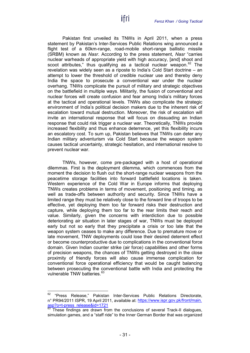Pakistan first unveiled its TNWs in April 2011, when a press statement by Pakistan's Inter-Services Public Relations wing announced a flight test of a 60km-range, road-mobile short-range ballistic missile (SRBM) known as *Nasr*. According to the press statement, *Nasr* "carries nuclear warheads of appropriate yield with high accuracy, [and] shoot and scoot attributes," thus qualifying as a tactical nuclear weapon.<sup>[62](#page-32-0)</sup> The revelation was widely seen as a riposte to India's Cold Start doctrine – an attempt to lower the threshold of credible nuclear use and thereby deny India the space to prosecute a conventional war under the nuclear overhang. TNWs complicate the pursuit of military and strategic objectives on the battlefield in multiple ways. Militarily, the fusion of conventional and nuclear forces will create confusion and fear among India's military forces at the tactical and operational levels. TNWs also complicate the strategic environment of India's political decision makers due to the inherent risk of escalation toward mutual destruction. Moreover, the risk of escalation will invite an international response that will focus on dissuading an Indian response that could risk trigger a nuclear war. Theoretically, TNWs provide increased flexibility and thus enhance deterrence, yet this flexibility incurs an escalatory cost. To sum up, Pakistan believes that TNWs can deter any Indian military adventurism via Cold Start because the weapon system causes tactical uncertainty, strategic hesitation, and international resolve to prevent nuclear war.

ifri

TNWs, however, come pre-packaged with a host of operational dilemmas. First is the deployment dilemma, which commences from the moment the decision to flush out the short-range nuclear weapons from the peacetime storage facilities into forward battlefield locations is taken. Western experience of the Cold War in Europe informs that deploying TNWs creates problems in terms of movement, positioning and timing, as well as trade-offs between authority and security. Since TNWs have a limited range they must be relatively close to the forward line of troops to be effective, yet deploying them too far forward risks their destruction and capture, while deploying them too far to the rear limits their reach and value. Similarly, given the concerns with interdiction due to possible deteriorating air situation in later stages of war, TNWs must be deployed early but not so early that they precipitate a crisis or too late that the weapon system ceases to make any difference. Due to premature move or late movement, TNW deployments could lose their desired deterrent effect or become counterproductive due to complications in the conventional force domain. Given Indian counter strike (air force) capabilities and other forms of precision weapons, the chances of TNWs getting destroyed in the close proximity of friendly forces will also cause immense complication for conventional force operational efficiency that would be caught balancing between prosecuting the conventional battle with India and protecting the vulnerable TNW batteries.<sup>[63](#page-32-1)</sup>

<span id="page-32-0"></span><sup>&</sup>lt;sup>62</sup> "Press Release," Pakistan Inter-Services Public Relations Directorate, n° PR94/2011 ISPR, 19 April 2011, available at: [https://www.ispr.gov.pk/front/main.](https://www.ispr.gov.pk/front/main.asp?o=t-press_release&id=1721)<br>asp?o=t-press\_release&id=1721<br><sup>63</sup> Thece findings are directed:

<span id="page-32-1"></span>These findings are drawn from the conclusions of several Track-II dialogues, simulation games, and a "staff ride" to the Inner German Border that was organized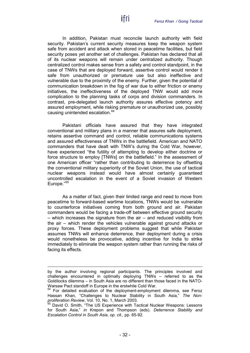In addition, Pakistan must reconcile launch authority with field security. Pakistan's current security measures keep the weapon system safe from accident and attack when stored in peacetime facilities, but field security poses yet another set of challenges. Pakistan has declared that all of its nuclear weapons will remain under centralized authority. Though centralized control makes sense from a safety and control standpoint, in the case of TNWs that are deployed forward, assertive control would render it safe from unauthorized or premature use but also ineffective and vulnerable due to the proximity of the enemy. Further, given the potential of communication breakdown in the fog of war due to either friction or enemy initiatives, the ineffectiveness of the deployed TNW would add more complication to the planning tasks of corps and division commanders. In contrast, pre-delegated launch authority assures effective potency and assured employment, while risking premature or unauthorized use, possibly causing unintended escalation.<sup>[64](#page-33-0)</sup>

ifri

Pakistani officials have assured that they have integrated conventional and military plans in a manner that assures safe deployment, retains assertive command and control, reliable communications systems and assured effectiveness of TNWs in the battlefield. American and NATO commanders that have dealt with TNW's during the Cold War, however, have experienced "the futility of attempting to develop either doctrine or force structure to employ [TNWs] on the battlefield." In the assessment of one American officer "rather than contributing to deterrence by offsetting the conventional military superiority of the Soviet Union, the use of tactical nuclear weapons instead would have almost certainly guaranteed uncontrolled escalation in the event of a Soviet invasion of Western Europe."<sup>[65](#page-33-1)</sup>

As a matter of fact, given their limited range and need to move from peacetime to forward-based wartime locations, TNWs would be vulnerable to counterforce initiatives coming from both ground and air. Pakistan commanders would be facing a trade-off between effective ground security – which increases the signature from the air – and reduced visibility from the air – which render the vehicles vulnerable against ground attacks or proxy forces. These deployment problems suggest that while Pakistan assumes TNWs will enhance deterrence, their deployment during a crisis would nonetheless be provocative, adding incentive for India to strike immediately to eliminate the weapon system rather than running the risks of facing its effects.

 $\overline{a}$ 

by the author involving regional participants. The principles involved and challenges encountered in optimally deploying TNWs – referred to as the Goldilocks dilemma – in South Asia are no different than those faced in the NATO-Warsaw Pact standoff in Europe in the erstwhile Cold War.

<span id="page-33-0"></span> $64$  For detailed evaluation of the deployment-employment dilemma, see Feroz Hassan Khan, "Challenges to Nuclear Stability in South Asia," *The Nonproliferation Review*, Vol. 10, No. 1, March 2003.<br><sup>65</sup> David O. Carly *arty* (10, No. 1, March 2003.

<span id="page-33-1"></span><sup>65</sup> David O. Smith, "The US Experience with Tactical Nuclear Weapons: Lessons for South Asia," *in* Krepon and Thompson (eds). *Deterrence Stability and Escalation Control in South Asia*, *op. cit.,* pp. 65-92.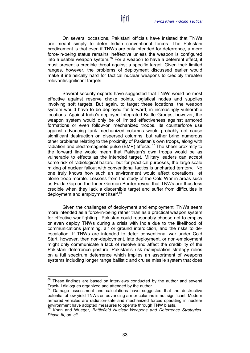On several occasions, Pakistani officials have insisted that TNWs are meant simply to deter Indian conventional forces. The Pakistani predicament is that even if TNWs are only intended for deterrence, a mere force-in-being status remains ineffective unless the weapon is configured into a usable weapon system.<sup>[66](#page-34-0)</sup> For a weapon to have a deterrent effect, it must present a credible threat against a specific target. Given their limited ranges, however, the problems of deployment discussed earlier would make it intrinsically hard for tactical nuclear weapons to credibly threaten relevant/significant targets.

Several security experts have suggested that TNWs would be most effective against reserve choke points, logistical nodes and supplies involving soft targets. But again, to target these locations, the weapon system would have to be deployed far forward, in increasingly vulnerable locations. Against India's deployed Integrated Battle Groups, however, the weapon system would only be of limited effectiveness against armored formations or even follow-on mechanized troops. Its counterforce use against advancing tank mechanized columns would probably not cause significant destruction on dispersed columns, but rather bring numerous other problems relating to the proximity of Pakistan's own troops, along with radiation and electromagnetic pulse (EMP) effects.<sup>[67](#page-34-1)</sup> The sheer proximity to the forward line would mean that Pakistan's own troops would be as vulnerable to effects as the intended target. Military leaders can accept some risk of radiological hazard, but for practical purposes, the large-scale mixing of nuclear fallout with conventional tactics is uncharted territory. No one truly knows how such an environment would affect operations, let alone troop morale. Lessons from the study of the Cold War in areas such as Fulda Gap on the Inner-German Border reveal that TNWs are thus less credible when they lack a discernible target and suffer from difficulties in deployment and employment itself.<sup>[68](#page-34-2)</sup>

Given the challenges of deployment and employment, TNWs seem more intended as a force-in-being rather than as a practical weapon system for effective war fighting. Pakistan could reasonably choose not to employ or even deploy TNWs during a crisis with India due to the likelihood of communications jamming, air or ground interdiction, and the risks to deescalation. If TNWs are intended to deter conventional war under Cold Start, however, then non-deployment, late deployment, or non-employment might only communicate a lack of resolve and affect the credibility of the Pakistani deterrence posture. Pakistan's risk manipulation strategy relies on a full spectrum deterrence which implies an assortment of weapons systems including longer range ballistic and cruise missile system that does

<span id="page-34-0"></span> $66$  These findings are based on interviews conducted by the author and several Track-II dialogues organized and attended by the author.

<span id="page-34-1"></span>Damage assessment and calculations have suggested that the destructive potential of low yield TNWs on advancing armor columns is not significant. Modern armored vehicles are radiation-safe and mechanized forces operating in nuclear environment have adopted measures to operate through TNW blasts.

<span id="page-34-2"></span><sup>68</sup> Khan and Wueger, *Battlefield Nuclear Weapons and Deterrence Strategies: Phase III, op. cit.*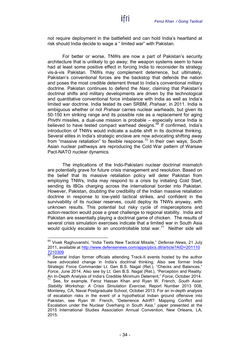not require deployment in the battlefield and can hold India's heartland at risk should India decide to wage a " limited war" with Pakistan.

For better or worse, TNWs are now a part of Pakistan's security architecture that is unlikely to go away; the weapon systems seem to have had at least some positive effect in forcing India to reconsider its strategy vis-à-vis Pakistan. TNWs may complement deterrence, but ultimately, Pakistan's conventional forces are the backstop that defends the nation and poses the most credible deterrent threat to India's conventional military doctrine. Pakistan continues to defend the *Nasr*, claiming that Pakistan's doctrinal shifts and military developments are driven by the technological and quantitative conventional force imbalance with India as well as India's limited war doctrine. India tested its own SRBM, *Prahaar*, in 2011. India is ambiguous whether or not *Prahaar* carries nuclear warheads, but given its 50-150 km striking range and its possible role as a replacement for aging *Privthi* missiles, a dual-use mission is probable – especially since India is believed to have tested compact warhead designs.<sup>[69](#page-35-0)</sup> If confirmed, India's introduction of TNWs would indicate a subtle shift in its doctrinal thinking. Several elites in India's strategic enclave are now advocating shifting away from "massive retaliation" to flexible response.<sup>[70](#page-35-1)</sup> In their own ways, South Asian nuclear pathways are reproducing the Cold War pattern of Warsaw Pact-NATO nuclear dynamics.

The implications of the Indo-Pakistani nuclear doctrinal mismatch are potentially grave for future crisis management and resolution. Based on the belief that its massive retaliation policy will deter Pakistan from employing TNWs, India may respond to a crisis by initiating Cold Start, sending its IBGs charging across the international border into Pakistan. However, Pakistan, doubting the credibility of the Indian massive retaliation doctrine in response to low-yield tactical strikes, and confident in the survivability of its nuclear reserves, could deploy its TNWs anyway, with unknown results. This potential but risky cycle of misperceptions and action-reaction would pose a great challenge to regional stability. India and Pakistan are essentially playing a doctrinal game of chicken. The results of several crisis simulation exercises indicate that a limited war in South Asia would quickly escalate to an uncontrollable total war.<sup>[71](#page-35-2)</sup> Neither side will

<span id="page-35-0"></span> <sup>69</sup> Vivek Raghuvanshi, "India Tests New Tactical Missile," *Defense News,* 21 July 2011, available at <u>[http://www.defensenews.com/apps/pbcs.dll/article?AID=201110](http://www.defensenews.com/apps/pbcs.dll/article?AID=2011107210309)</u> [7210309](http://www.defensenews.com/apps/pbcs.dll/article?AID=2011107210309)

<span id="page-35-2"></span><span id="page-35-1"></span> $70$  Several Indian former officials attending Track-II events hosted by the author have advocated change in India's doctrinal thinking. Also see former India Strategic Force Commander Lt. Gen B.S. Nagal (Ret.), "Checks and Balances," *Force*, June 2014. Also see by Lt. Gen B.S. Nagal (Ret.), "Perception and Reality: An In-Depth Analysis of India's Credible Minimum Deterrent," *Force*, October 2014. <sup>71</sup> See, for example, Feroz Hassan Khan and Ryan W. French, *South Asian Stability Workshop: A Crisis Simulation Exercise*, Report Number 2013 008, Monterey, CA, Naval Postgraduate School, October 2013. For an in-depth analysis of escalation risks in the event of a hypothetical Indian ground offensive into Pakistan, see Ryan W. French, "Deterrence Adrift?: Mapping Conflict and Escalation under the Nuclear Overhang in South Asia," paper presented at the 2015 International Studies Association Annual Convention, New Orleans, LA, 2015.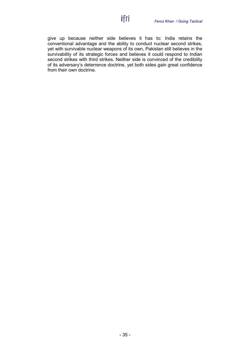give up because neither side believes it has to: India retains the conventional advantage and the ability to conduct nuclear second strikes, yet with survivable nuclear weapons of its own, Pakistan still believes in the survivability of its strategic forces and believes it could respond to Indian second strikes with third strikes. Neither side is convinced of the credibility of its adversary's deterrence doctrine, yet both sides gain great confidence from their own doctrine.

ifri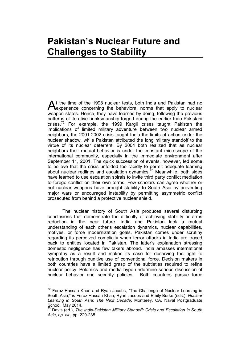## <span id="page-38-0"></span>**Pakistan's Nuclear Future and Challenges to Stability**

t the time of the 1998 nuclear tests, both India and Pakistan had no At the time of the 1998 nuclear tests, both India and Pakistan had no experience concerning the behavioral norms that apply to nuclear weapon states. Hence, they have learned by doing, following the previous patterns of iterative brinksmanship forged during the earlier Indo-Pakistani crises.<sup>[72](#page-38-1)</sup> For example, the 1999 Kargil crises taught Pakistan the implications of limited military adventure between two nuclear armed neighbors, the 2001-2002 crisis taught India the limits of action under the nuclear shadow, while Pakistan attributed the long military standoff to the virtue of its nuclear deterrent. By 2004 both realized that as nuclear neighbors their mutual behavior is under the constant microscope of the international community, especially in the immediate environment after September 11, 2001. The quick succession of events, however, led some to believe that the crisis unfolded too rapidly to permit adequate learning about nuclear redlines and escalation dynamics.<sup>[73](#page-38-2)</sup> Meanwhile, both sides have learned to use escalation spirals to invite third party conflict mediation to forego conflict on their own terms. Few scholars can agree whether or not nuclear weapons have brought stability to South Asia by preventing major wars or encouraged instability by permitting asymmetric conflict prosecuted from behind a protective nuclear shield.

The nuclear history of South Asia produces several disturbing conclusions that demonstrate the difficulty of achieving stability or arms reduction in the near future. India and Pakistan lack a mutual understanding of each other's escalation dynamics, nuclear capabilities, motives, or force modernization goals. Pakistan comes under scrutiny regarding its perceived complicity when terror attacks in India are traced back to entities located in Pakistan. The latter's explanation stressing domestic negligence has few takers abroad. India amasses international sympathy as a result and makes its case for deserving the right to retribution through punitive use of conventional force. Decision makers in both countries have a limited grasp of the subtleties required to refine nuclear policy. Polemics and media hype undermine serious discussion of nuclear behavior and security policies. Both countries pursue force

<span id="page-38-1"></span> $72$  Feroz Hassan Khan and Ryan Jacobs, "The Challenge of Nuclear Learning in South Asia," *in* Feroz Hassan Khan, Ryan Jacobs and Emily Burke (eds.), *Nuclear Learning in South Asia: The Next Decade*, Monterey, CA, Naval Postgraduate School, May 2014.

<span id="page-38-2"></span><sup>73</sup> Davis (ed.), *The India-Pakistan Military Standoff: Crisis and Escalation in South Asia*, *op. cit.,* pp. 229-235.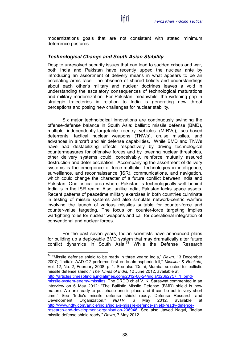modernizations goals that are not consistent with stated minimum deterrence postures.

ifri

#### <span id="page-39-0"></span>*Technological Change and South Asian Stability*

Despite unresolved security issues that can lead to sudden crises and war, both India and Pakistan have recently upped the nuclear ante by introducing an assortment of delivery means in what appears to be an escalating arms race. The absence of shared beliefs and understandings about each other's military and nuclear doctrines leaves a void in understanding the escalatory consequences of technological maturations and military modernization. For Pakistan, meanwhile, the widening gap in strategic trajectories in relation to India is generating new threat perceptions and posing new challenges for nuclear stability.

Six major technological innovations are continuously swinging the offense-defense balance in South Asia: ballistic missile defense (BMD), multiple independently-targetable reentry vehicles (MIRVs), sea-based deterrents, tactical nuclear weapons (TNWs), cruise missiles, and advances in aircraft and air defense capabilities. While BMD and TNWs have had destabilizing effects respectively by driving technological countermeasures for offensive forces and by lowering nuclear thresholds, other delivery systems could, conceivably, reinforce mutually assured destruction and deter escalation. Accompanying the assortment of delivery systems is the emergence of force-multiplier technologies in intelligence, surveillance, and reconnaissance (ISR), communications, and navigation, which could change the character of a future conflict between India and Pakistan. One critical area where Pakistan is technologically well behind India is in the ISR realm. Also, unlike India, Pakistan lacks space assets. Recent patterns of peacetime military exercises in both countries culminate in testing of missile systems and also simulate network-centric warfare involving the launch of various missiles suitable for counter-force and counter-value targeting. The focus on counter-force targeting implies warfighting roles for nuclear weapons and call for operational integration of conventional and nuclear forces.

For the past seven years, Indian scientists have announced plans for building up a deployable BMD system that may dramatically alter future conflict dynamics in South Asia.<sup>[74](#page-39-1)</sup> While the Defense Research

<span id="page-39-1"></span> 74 "Missile defense shield to be ready in three years: India," *Dawn,* 13 December 2007; "India's AAD-O2 performs first endo-atmospheric kill," *Missiles & Rockets,*  Vol. 12, No. 2, February 2008, p. 1. See also "Delhi, Mumbai selected for ballistic missile defense shield," *The Times of India,* 12 June 2012, available at: [http://articles.timesofindia.indiatimes.com/2012-06-24/india/32392757\\_1\\_bmd](http://articles.timesofindia.indiatimes.com/2012-06-24/india/32392757_1_bmd-missile-system-enemy-missiles)[missile-system-enemy-missiles.](http://articles.timesofindia.indiatimes.com/2012-06-24/india/32392757_1_bmd-missile-system-enemy-missiles) The DRDO chief V. K. Saraswat commented in an interview on 6 May 2012: "The Ballistic Missile Defense (BMD) shield is now mature. We are ready to put phase one in place and it can be put in very short time." See "India's missile defense shield ready: Defense Research and<br>Development Organization." NDTV. 6 May 2012. available at Organization," *NDTV*, 6 May 2012, available at [http://www.ndtv.com/article/india/india-s-missile-defence-shield-ready-defence](http://www.ndtv.com/article/india/india-s-missile-defence-shield-ready-defence-research-and-development-organisation-206946)[research-and-development-organisation-206946.](http://www.ndtv.com/article/india/india-s-missile-defence-shield-ready-defence-research-and-development-organisation-206946) See also Jawed Naqvi, "Indian missile defense shield ready," *Dawn*, 7 May 2012.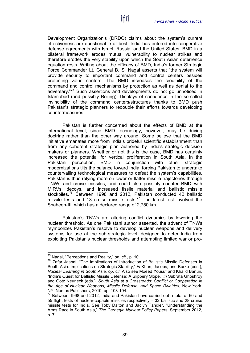Development Organization's (DRDO) claims about the system's current effectiveness are questionable at best, India has entered into cooperative defense agreements with Israel, Russia, and the United States. BMD in a bilateral framework erodes mutual vulnerability to nuclear strikes and therefore erodes the very stability upon which the South Asian deterrence equation rests. Writing about the efficacy of BMD, India's former Strategic Force Commander Lt. General B. S. Nagal asserts that "the system will provide security to important command and control centers besides protecting value centers. The BMD increases the credibility of the command and control mechanisms by protection as well as denial to the adversary."<sup>[75](#page-40-0)</sup> Such assertions and developments do not go unnoticed in Islamabad (and possibly Beijing). Displays of confidence in the so-called invincibility of the command centers/structures thanks to BMD push Pakistan's strategic planners to redouble their efforts towards developing countermeasures.

ifri

Pakistan is further concerned about the effects of BMD at the international level, since BMD technology, however, may be driving doctrine rather than the other way around. Some believe that the BMD initiative emanates more from India's prideful scientific establishment than from any coherent strategic plan authored by India's strategic decision makers or planners. Whether or not this is the case, BMD has certainly increased the potential for vertical proliferation in South Asia. In the Pakistani perception. BMD in conjunction with other strategic BMD in conjunction with other strategic modernizations tilts the balance toward India, forcing Pakistan to undertake countervailing technological measures to defeat the system's capabilities. Pakistan is thus relying more on lower or flatter missile trajectories through TNWs and cruise missiles, and could also possibly counter BMD with MIRVs, decoys, and increased fissile material and ballistic missile stockpiles. [76](#page-40-1) Between 1998 and 2012, Pakistan conducted 42 ballistic missile tests and 13 cruise missile tests.<sup>[77](#page-40-2)</sup> The latest test involved the Shaheen-III, which has a declared range of 2,750 km.

Pakistan's TNWs are altering conflict dynamics by lowering the nuclear threshold. As one Pakistani author asserted, the advent of TNWs "symbolizes Pakistan's resolve to develop nuclear weapons and delivery systems for use at the sub-strategic level, designed to deter India from exploiting Pakistan's nuclear thresholds and attempting limited war or pro-

<span id="page-40-1"></span>

<span id="page-40-0"></span><sup>&</sup>lt;sup>75</sup> Nagal, "Perceptions and Reality," *op. cit.,* p. 10.<br><sup>76</sup> Zafar Jaspal, "The Implications of Introduction of Ballistic Missile Defenses in South Asia: Implications on Strategic Stability," *in* Khan, Jacobs, and Burke (eds.), *Nuclear Learning in South Asia, op. cit.* Also see Moeed Yousuf and Khalid Banuri, "India's Quest for Ballistic Missile Defense: A Slippery Slope," *in* Subrata Ghoshroy and Gotz Neuneck (eds.), *South Asia at a Crossroads: Conflict or Cooperation in the Age of Nuclear Weapons, Missile Defense, and Space Rivalries*, New York, NY, Nomos Publishers, 2010, pp. 103-104.

<span id="page-40-2"></span> $77$  Between 1998 and 2012, India and Pakistan have carried out a total of 60 and 55 flight tests of nuclear-capable missiles respectively – 32 ballistic and 28 cruise missile tests for India. See Toby Dalton and Jaclyn Tandler, "Understanding the Arms Race in South Asia," *The Carnegie Nuclear Policy Papers,* September 2012, p. 7.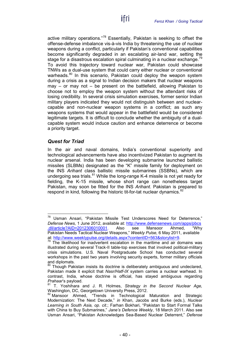active military operations."[78](#page-41-1) Essentially, Pakistan is seeking to offset the offense-defense imbalance vis-à-vis India by threatening the use of nuclear weapons during a conflict, particularly if Pakistan's conventional capabilities become significantly degraded in an escalating air-land war, setting the stage for a disastrous escalation spiral culminating in a nuclear exchange.<sup>[79](#page-41-2)</sup> To avoid this trajectory toward nuclear war, Pakistan could showcase TNWs as a dual-use system that could carry either nuclear or conventional warheads.<sup>[80](#page-41-3)</sup> In this scenario, Pakistan could deploy the weapon system during a crisis as a signal to Indian decision makers that nuclear weapons may  $-$  or may not  $-$  be present on the battlefield, allowing Pakistan to choose not to employ the weapon system without the attendant risks of losing credibility. In several crisis simulation exercises, former senior Indian military players indicated they would not distinguish between and nuclearcapable and non-nuclear weapon systems in a conflict; as such any weapons systems that would appear in the battlefield would be considered legitimate targets. It is difficult to conclude whether the ambiguity of a dualcapable system would induce caution and enhance deterrence or become a priority target.

ifri

#### <span id="page-41-0"></span>*Quest for Triad*

In the air and naval domains, India's conventional superiority and technological advancements have also incentivized Pakistan to augment its nuclear arsenal. India has been developing submarine launched ballistic missiles (SLBMs) designated as the "K" missile family for deployment on the INS *Arihant* class ballistic missile submarines (SSBNs), which are undergoing sea trials.  $81$  While the long-range K-4 missile is not yet ready for fielding, the K-15 missile, whose short range can nonetheless target Pakistan, may soon be fitted for the INS *Arihant*. Pakistan is prepared to respond in kind, following the historic tit-for-tat nuclear dynamics.<sup>[82](#page-41-5)</sup>

<span id="page-41-1"></span> <sup>78</sup> Usman Ansari, "Pakistan Missile Test Underscores Need for Deterrence," *Defense News,* 1 June 2012, available at: [http://www.defensenews.com/apps/pbcs](http://www.defensenews.com/apps/pbcs.dll/article?AID=2012306010001) [.dll/article?AID=2012306010001.](http://www.defensenews.com/apps/pbcs.dll/article?AID=2012306010001) Also see Mansoor Ahmed, "Why Pakistan Needs Tactical Nuclear Weapons," *Weekly Pulse,* 6 May 2011, available at: [http://www.weeklypulse.org/details.aspx?contentID=563&storylist=9.](http://www.weeklypulse.org/details.aspx?contentID=563&storylist=9)<br><sup>79</sup> The likelihood for inadvertent escalation in the maritime and air domains was

<span id="page-41-2"></span>illustrated during several Track-II table-top exercises that involved political-military crisis simulations. U.S. Naval Postgraduate School has conducted several workshops in the past two years involving security experts, former military officials and diplomats.

<span id="page-41-3"></span>Though Pakistan insists its doctrine is deliberately ambiguous and undeclared, Pakistan made it explicit that *Nasr/Hatf-IX* system carries a nuclear warhead. In contrast, India, whose doctrine is official, has stayed ambiguous regarding

<span id="page-41-4"></span>*Prahaar's* payload.<br><sup>81</sup> T. Yoshihara and J. R. Holmes, *Strategy in the Second Nuclear Age, Washington, DC, Georgetown University Press, 2012.* 

<span id="page-41-5"></span>Mansoor Ahmed, "Trends in Technological Maturation and Strategic Modernization: The Next Decade," *in* Khan, Jacobs and Burke (eds.), *Nuclear Learning in South Asia, op. cit.*; Farhan Bokhari, "Pakistan to Start Formal Talks with China to Buy Submarines," *Jane's Defence Weekly*, 18 March 2011. Also see Usman Ansari, "Pakistan Acknowledges Sea-Based Nuclear Deterrent," *Defense*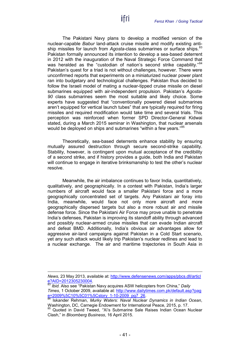The Pakistani Navy plans to develop a modified version of the nuclear-capable *Babur* land-attack cruise missile and modify existing antiship missiles for launch from *Agosta-class* submarines or surface ships.<sup>83</sup> Pakistan formally announced its intention to develop a sea-based deterrent in 2012 with the inauguration of the Naval Strategic Force Command that was heralded as the "custodian of nation's second strike capability."<sup>[84](#page-42-1)</sup> Pakistan's quest for a triad is not without challenges, however. There were unconfirmed reports that experiments on a miniaturized nuclear power plant ran into budgetary and technological challenges. Pakistan thus decided to follow the Israeli model of mating a nuclear-tipped cruise missile on diesel submarines equipped with air-independent propulsion. Pakistan's *Agosta-90* class submarines seem the most suitable and likely choice. Some experts have suggested that "conventionally powered diesel submarines aren't equipped for vertical launch tubes" that are typically required for firing missiles and required modification would take time and several trials. This perception was reinforced when former SPD Director-General Kidwai stated, during a March 2015 seminar in Washington, that nuclear arsenals would be deployed on ships and submarines "within a few vears."[85](#page-42-2)

ifri

Theoretically, sea-based deterrents enhance stability by ensuring mutually assured destruction through secure second-strike capability. Stability, however, is contingent upon mutual acceptance of the credibility of a second strike, and if history provides a guide, both India and Pakistan will continue to engage in iterative brinksmanship to test the other's nuclear resolve.

Meanwhile, the air imbalance continues to favor India, quantitatively, qualitatively, and geographically. In a contest with Pakistan, India's larger numbers of aircraft would face a smaller Pakistani force and a more geographically concentrated set of targets. Any Pakistani air foray into India, meanwhile, would face not only more aircraft and more geographically dispersed targets but also a more robust air and missile defense force. Since the Pakistani Air Force may prove unable to penetrate India's defenses, Pakistan is improving its standoff ability through advanced and possibly nuclear-armed cruise missiles that can evade Indian aircraft and defeat BMD. Additionally, India's obvious air advantages allow for aggressive air-land campaigns against Pakistan in a Cold Start scenario, yet any such attack would likely trip Pakistan's nuclear redlines and lead to a nuclear exchange. The air and maritime trajectories in South Asia in

 $\overline{a}$ 

*News,* 23 May 2013, available at: [http://www.defensenews.com/apps/pbcs.dll/articl](http://www.defensenews.com/apps/pbcs.dll/article?AID=2012305230004) [e?AID=2012305230004.](http://www.defensenews.com/apps/pbcs.dll/article?AID=2012305230004)<br><sup>83</sup> *Ibid.* Also see "Pakistan Navy acquires ASW helicopters from China," Daily

<span id="page-42-0"></span>*Times*, 1 October 2009, available at: [http://www.dailytimes.com.pk/default.asp?pag](http://www.dailytimes.com.pk/default.asp?page=2009%5C10%5C01%5Cstory_1-10-2009_pg7_26) [e=2009%5C10%5C01%5Cstory\\_1-10-2009\\_pg7\\_26.](http://www.dailytimes.com.pk/default.asp?page=2009%5C10%5C01%5Cstory_1-10-2009_pg7_26) <sup>84</sup> Iskander Rehman, *Murky Waters: Naval Nuclear Dynamics in Indian Ocean*,

<span id="page-42-1"></span>Washington, DC, Carnegie Endowment for International Peace, 2015, p. 17.

<span id="page-42-2"></span>Quoted in David Tweed, "Xi's Submarine Sale Raises Indian Ocean Nuclear Clash," in *Bloomberg Business*, 16 April 2015.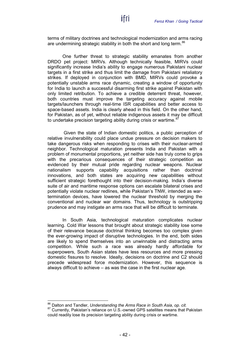terms of military doctrines and technological modernization and arms racing are undermining strategic stability in both the short and long term.<sup>[86](#page-43-0)</sup>

One further threat to strategic stability emanates from another DRDO pet project: MIRVs. Although technically feasible, MIRVs could significantly increase India's ability to engage numerous Pakistani nuclear targets in a first strike and thus limit the damage from Pakistani retaliatory strikes. If deployed in conjunction with BMD, MIRVs could provoke a potentially unstable arms race dynamic, creating a window of opportunity for India to launch a successful disarming first strike against Pakistan with only limited retribution. To achieve a credible deterrent threat, however, both countries must improve the targeting accuracy against mobile targets/launchers through real-time ISR capabilities and better access to space-based assets. India is clearly ahead in this field. On the other hand, for Pakistan, as of yet, without reliable indigenous assets it may be difficult to undertake precision targeting ability during crisis or wartime.<sup>[87](#page-43-1)</sup>

Given the state of Indian domestic politics, a public perception of relative invulnerability could place undue pressure on decision makers to take dangerous risks when responding to crises with their nuclear-armed neighbor. Technological maturation presents India and Pakistan with a problem of monumental proportions, yet neither side has truly come to grips with the precarious consequences of their strategic competition as evidenced by their mutual pride regarding nuclear weapons. Nuclear nationalism supports capability acquisitions rather than doctrinal innovations, and both states are acquiring new capabilities without sufficient strategic forethought into their decision-making. India's diverse suite of air and maritime response options can escalate bilateral crises and potentially violate nuclear redlines, while Pakistan's TNW, intended as wartermination devices, have lowered the nuclear threshold by merging the conventional and nuclear war domains. Thus, technology is outstripping prudence and may instigate an arms race that will be difficult to terminate.

In South Asia, technological maturation complicates nuclear learning. Cold War lessons that brought about strategic stability lose some of their relevance because doctrinal thinking becomes too complex given the ever-growing impact of disruptive technologies. In the end, both sides are likely to spend themselves into an unwinnable and distracting arms competition. While such a race was already hardly affordable for superpowers, South Asian states have less resources and more pressing domestic fissures to resolve. Ideally, decisions on doctrine and C2 should precede widespread force modernization. However, this sequence is always difficult to achieve – as was the case in the first nuclear age.

<span id="page-43-1"></span><span id="page-43-0"></span><sup>&</sup>lt;sup>86</sup> Dalton and Tandler, *Understanding the Arms Race in South Asia, op. cit.*<br><sup>87</sup> Currently, Pakistan's reliance on U.S.-owned GPS satellites means that Pakistan could readily lose its precision targeting ability during crisis or wartime.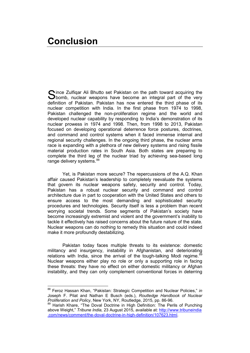<span id="page-44-0"></span>**C**ince Zulfigar Ali Bhutto set Pakistan on the path toward acquiring the Since Zulfiqar Ali Bhutto set Pakistan on the path toward acquiring the Shomb, nuclear weapons have become an integral part of the very definition of Pakistan. Pakistan has now entered the third phase of its nuclear competition with India. In the first phase from 1974 to 1998, Pakistan challenged the non-proliferation regime and the world and developed nuclear capability by responding to India's demonstration of its nuclear prowess in 1974 and 1998. Then, from 1998 to 2013, Pakistan focused on developing operational deterrence force postures, doctrines, and command and control systems when it faced immense internal and regional security challenges. In the ongoing third phase, the nuclear arms race is expanding with a plethora of new delivery systems and rising fissile material production rates in South Asia. Both states are preparing to complete the third leg of the nuclear triad by achieving sea-based long range delivery systems.<sup>[88](#page-44-1)</sup>

Yet, is Pakistan more secure? The repercussions of the A.Q. Khan affair caused Pakistan's leadership to completely reevaluate the systems that govern its nuclear weapons safety, security and control. Today, Pakistan has a robust nuclear security and command and control architecture due in part to cooperation with the United States and others to ensure access to the most demanding and sophisticated security procedures and technologies. Security itself is less a problem than recent worrying societal trends. Some segments of Pakistan's society have become increasingly extremist and violent and the government's inability to tackle it effectively has raised concerns about the future nature of the state. Nuclear weapons can do nothing to remedy this situation and could indeed make it more profoundly destabilizing.

Pakistan today faces multiple threats to its existence: domestic militancy and insurgency, instability in Afghanistan, and deteriorating relations with India, since the arrival of the tough-talking Modi regime.<sup>[89](#page-44-2)</sup> Nuclear weapons either play no role or only a supporting role in facing these threats: they have no effect on either domestic militancy or Afghan instability, and they can only complement conventional forces in deterring

<span id="page-44-1"></span> <sup>88</sup> Feroz Hassan Khan, "Pakistan: Strategic Competition and Nuclear Policies," *in* Joseph F. Pilat and Nathan E Busch (eds.), *Routledge Handbook of Nuclear Proliferation and Policy*, New York, NY, Routledge, 2015, pp. 86-96.

<span id="page-44-2"></span><sup>89</sup> Harish Khare, "The Doval Doctrine in High Definition: The Perils of Punching above Weight," *Tribune India,* 23 August 2015, available at: [http://www.tribuneindia](http://www.tribuneindia.com/news/comment/the-doval-doctrine-in-high-definition/107623.html) [.com/news/comment/the-doval-doctrine-in-high-definition/107623.html.](http://www.tribuneindia.com/news/comment/the-doval-doctrine-in-high-definition/107623.html)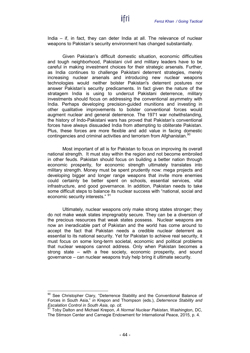India – if, in fact, they can deter India at all. The relevance of nuclear weapons to Pakistan's security environment has changed substantially.

Given Pakistan's difficult domestic situation, economic difficulties and tough neighborhood, Pakistani civil and military leaders have to be careful in making investment choices for their strategic arsenals. Further, as India continues to challenge Pakistani deterrent strategies, merely increasing nuclear arsenals and introducing new nuclear weapons technologies would neither bolster Pakistan's deterrent postures nor answer Pakistan's security predicaments. In fact given the nature of the stratagem India is using to undercut Pakistani deterrence, military investments should focus on addressing the conventional asymmetry with India. Perhaps developing precision-guided munitions and investing in other qualitative improvements to bolster conventional forces would augment nuclear and general deterrence. The 1971 war notwithstanding, the history of Indo-Pakistani wars has proved that Pakistan's conventional forces have always dissuaded India from attempting to obliterate Pakistan. Plus, these forces are more flexible and add value in facing domestic contingencies and criminal activities and terrorism from Afghanistan.<sup>[90](#page-45-0)</sup>

Most important of all is for Pakistan to focus on improving its overall national strength. It must stay within the region and not become embroiled in other feuds. Pakistan should focus on building a better nation through economic prosperity, for economic strength ultimately translates into military strength. Money must be spent prudently now: mega projects and developing bigger and longer range weapons that invite more enemies could certainly be better spent on schools, essential services, vital infrastructure, and good governance. In addition, Pakistan needs to take some difficult steps to balance its nuclear success with "national, social and economic security interests." [91](#page-45-1)

Ultimately, nuclear weapons only make strong states stronger; they do not make weak states impregnably secure. They can be a diversion of the precious resources that weak states possess. Nuclear weapons are now an ineradicable part of Pakistan and the world has come around to accept the fact that Pakistan needs a credible nuclear deterrent as essential to its national security. Yet for Pakistan to achieve real security, it must focus on some long-term societal, economic and political problems that nuclear weapons cannot address. Only when Pakistan becomes a strong state – with a free society, economic prosperity, and sound governance – can nuclear weapons truly help bring it ultimate security.

<span id="page-45-0"></span><sup>90</sup> See Christopher Clary, "Deterrence Stability and the Conventional Balance of Forces in South Asia," *in* Krepon and Thompson (eds.), *Deterrence Stability and Escalation Control in South Asia, op. cit.*<br><sup>91</sup> Toby Delter and Michael V.

<span id="page-45-1"></span>*Escalation Control in South Asia*, *op. cit.* <sup>91</sup> Toby Dalton and Michael Krepon, *A Normal Nuclear Pakistan,* Washington, DC, The Stimson Center and Carnegie Endowment for International Peace, 2015, p. 4.